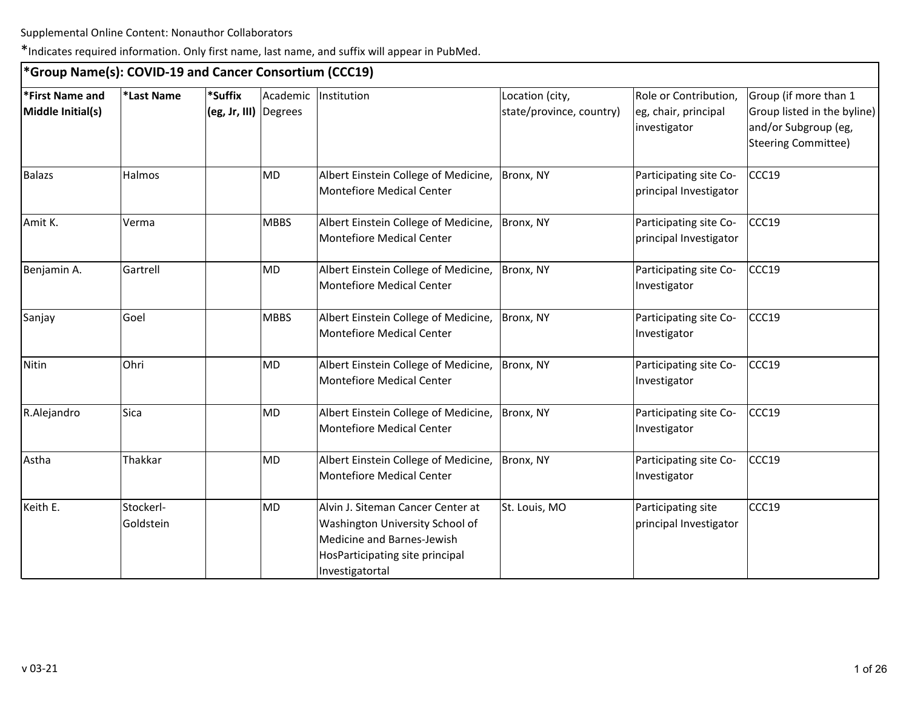| *Group Name(s): COVID-19 and Cancer Consortium (CCC19) |                        |                                  |             |                                                                                                                                                          |                                             |                                                               |                                                                                                            |
|--------------------------------------------------------|------------------------|----------------------------------|-------------|----------------------------------------------------------------------------------------------------------------------------------------------------------|---------------------------------------------|---------------------------------------------------------------|------------------------------------------------------------------------------------------------------------|
| *First Name and<br>Middle Initial(s)                   | *Last Name             | *Suffix<br>(eg, Jr, III) Degrees |             | Academic Institution                                                                                                                                     | Location (city,<br>state/province, country) | Role or Contribution,<br>eg, chair, principal<br>investigator | Group (if more than 1<br>Group listed in the byline)<br>and/or Subgroup (eg,<br><b>Steering Committee)</b> |
| <b>Balazs</b>                                          | Halmos                 |                                  | MD          | Albert Einstein College of Medicine,<br><b>Montefiore Medical Center</b>                                                                                 | Bronx, NY                                   | Participating site Co-<br>principal Investigator              | CCC19                                                                                                      |
| Amit K.                                                | Verma                  |                                  | <b>MBBS</b> | Albert Einstein College of Medicine,<br><b>Montefiore Medical Center</b>                                                                                 | Bronx, NY                                   | Participating site Co-<br>principal Investigator              | CCC19                                                                                                      |
| Benjamin A.                                            | Gartrell               |                                  | MD          | Albert Einstein College of Medicine,<br><b>Montefiore Medical Center</b>                                                                                 | Bronx, NY                                   | Participating site Co-<br>Investigator                        | CCC19                                                                                                      |
| Sanjay                                                 | Goel                   |                                  | <b>MBBS</b> | Albert Einstein College of Medicine,<br><b>Montefiore Medical Center</b>                                                                                 | Bronx, NY                                   | Participating site Co-<br>Investigator                        | CCC19                                                                                                      |
| Nitin                                                  | Ohri                   |                                  | <b>MD</b>   | Albert Einstein College of Medicine,<br><b>Montefiore Medical Center</b>                                                                                 | Bronx, NY                                   | Participating site Co-<br>Investigator                        | CCC19                                                                                                      |
| R.Alejandro                                            | Sica                   |                                  | <b>MD</b>   | Albert Einstein College of Medicine,<br><b>Montefiore Medical Center</b>                                                                                 | Bronx, NY                                   | Participating site Co-<br>Investigator                        | CCC19                                                                                                      |
| Astha                                                  | Thakkar                |                                  | MD          | Albert Einstein College of Medicine,<br>Montefiore Medical Center                                                                                        | Bronx, NY                                   | Participating site Co-<br>Investigator                        | CCC19                                                                                                      |
| Keith E.                                               | Stockerl-<br>Goldstein |                                  | MD          | Alvin J. Siteman Cancer Center at<br>Washington University School of<br>Medicine and Barnes-Jewish<br>HosParticipating site principal<br>Investigatortal | St. Louis, MO                               | Participating site<br>principal Investigator                  | CCC19                                                                                                      |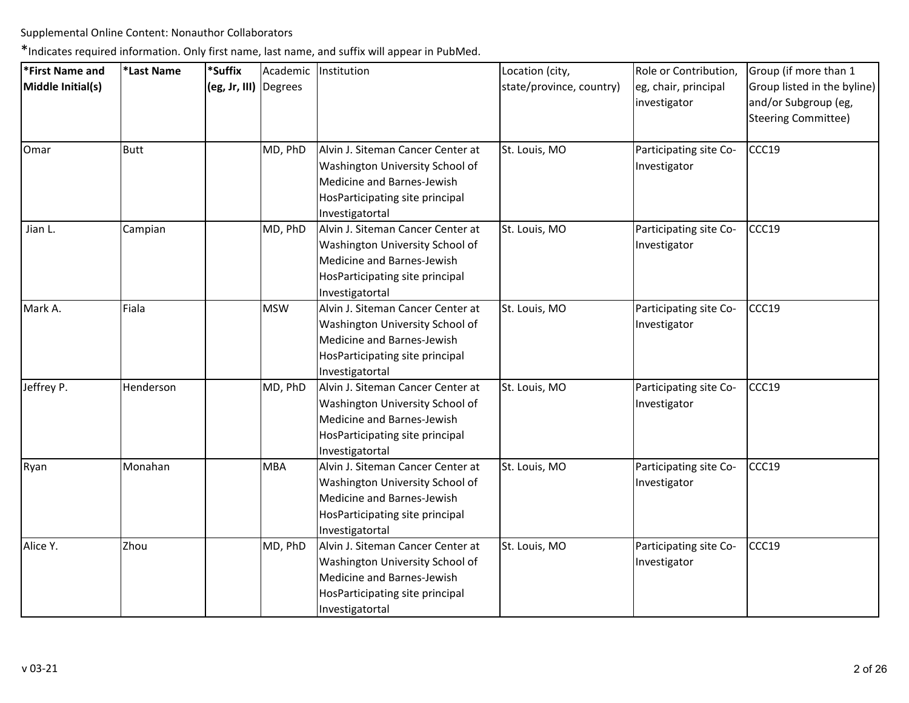| *First Name and   | *Last Name | *Suffix               | Academic   | Institution                                                                                                                                              | Location (city,          | Role or Contribution,                  | Group (if more than 1                                                      |
|-------------------|------------|-----------------------|------------|----------------------------------------------------------------------------------------------------------------------------------------------------------|--------------------------|----------------------------------------|----------------------------------------------------------------------------|
| Middle Initial(s) |            | (eg, Jr, III) Degrees |            |                                                                                                                                                          | state/province, country) | eg, chair, principal<br>investigator   | Group listed in the byline)<br>and/or Subgroup (eg,<br>Steering Committee) |
| Omar              | Butt       |                       | MD, PhD    | Alvin J. Siteman Cancer Center at<br>Washington University School of<br>Medicine and Barnes-Jewish<br>HosParticipating site principal<br>Investigatortal | St. Louis, MO            | Participating site Co-<br>Investigator | CCC19                                                                      |
| Jian L.           | Campian    |                       | MD, PhD    | Alvin J. Siteman Cancer Center at<br>Washington University School of<br>Medicine and Barnes-Jewish<br>HosParticipating site principal<br>Investigatortal | St. Louis, MO            | Participating site Co-<br>Investigator | CCC19                                                                      |
| Mark A.           | Fiala      |                       | <b>MSW</b> | Alvin J. Siteman Cancer Center at<br>Washington University School of<br>Medicine and Barnes-Jewish<br>HosParticipating site principal<br>Investigatortal | St. Louis, MO            | Participating site Co-<br>Investigator | CCC19                                                                      |
| Jeffrey P.        | Henderson  |                       | MD, PhD    | Alvin J. Siteman Cancer Center at<br>Washington University School of<br>Medicine and Barnes-Jewish<br>HosParticipating site principal<br>Investigatortal | St. Louis, MO            | Participating site Co-<br>Investigator | CCC19                                                                      |
| Ryan              | Monahan    |                       | <b>MBA</b> | Alvin J. Siteman Cancer Center at<br>Washington University School of<br>Medicine and Barnes-Jewish<br>HosParticipating site principal<br>Investigatortal | St. Louis, MO            | Participating site Co-<br>Investigator | CCC19                                                                      |
| Alice Y.          | Zhou       |                       | MD, PhD    | Alvin J. Siteman Cancer Center at<br>Washington University School of<br>Medicine and Barnes-Jewish<br>HosParticipating site principal<br>Investigatortal | St. Louis, MO            | Participating site Co-<br>Investigator | CCC19                                                                      |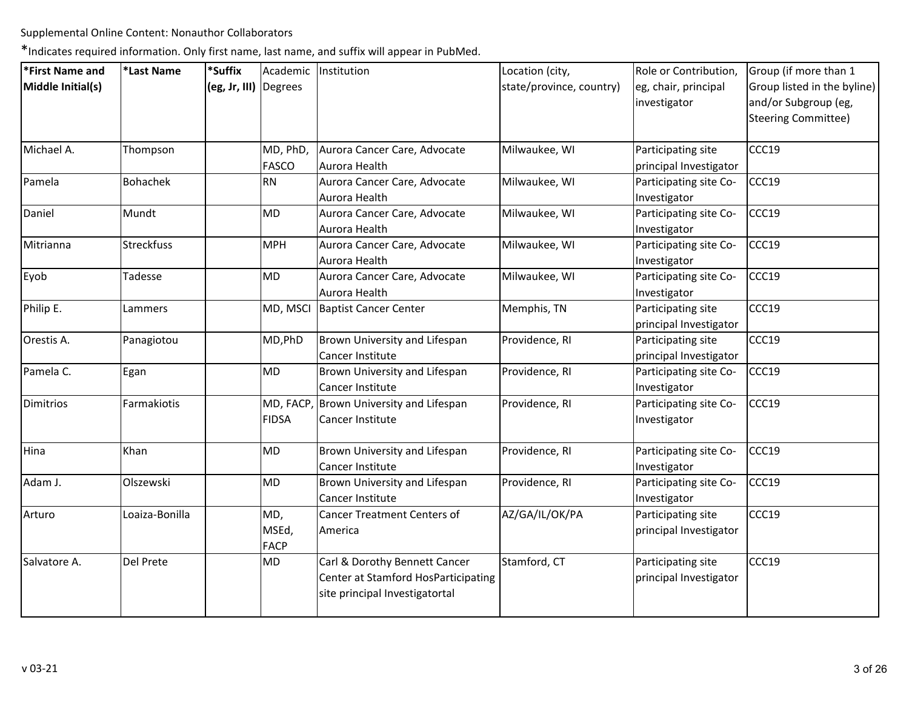| *First Name and   | *Last Name      | *Suffix               |                             | Academic Institution                                                                                   | Location (city,          | Role or Contribution,                        | Group (if more than 1       |
|-------------------|-----------------|-----------------------|-----------------------------|--------------------------------------------------------------------------------------------------------|--------------------------|----------------------------------------------|-----------------------------|
| Middle Initial(s) |                 | (eg, Jr, III) Degrees |                             |                                                                                                        | state/province, country) | eg, chair, principal                         | Group listed in the byline) |
|                   |                 |                       |                             |                                                                                                        |                          | investigator                                 | and/or Subgroup (eg,        |
|                   |                 |                       |                             |                                                                                                        |                          |                                              | <b>Steering Committee)</b>  |
| Michael A.        | Thompson        |                       | MD, PhD,                    | Aurora Cancer Care, Advocate                                                                           | Milwaukee, WI            | Participating site                           | CCC19                       |
|                   |                 |                       | <b>FASCO</b>                | Aurora Health                                                                                          |                          | principal Investigator                       |                             |
| Pamela            | <b>Bohachek</b> |                       | RN                          | Aurora Cancer Care, Advocate<br>Aurora Health                                                          | Milwaukee, WI            | Participating site Co-                       | CCC19                       |
| Daniel            | Mundt           |                       | MD                          | Aurora Cancer Care, Advocate                                                                           | Milwaukee, WI            | Investigator<br>Participating site Co-       | CCC19                       |
|                   |                 |                       |                             | Aurora Health                                                                                          |                          | Investigator                                 |                             |
| Mitrianna         | Streckfuss      |                       | <b>MPH</b>                  | Aurora Cancer Care, Advocate                                                                           | Milwaukee, WI            | Participating site Co-                       | CCC19                       |
|                   |                 |                       |                             | Aurora Health                                                                                          |                          | Investigator                                 |                             |
| Eyob              | Tadesse         |                       | MD                          | Aurora Cancer Care, Advocate<br>Aurora Health                                                          | Milwaukee, WI            | Participating site Co-<br>Investigator       | CCC19                       |
| Philip E.         | Lammers         |                       | MD, MSCI                    | <b>Baptist Cancer Center</b>                                                                           | Memphis, TN              | Participating site<br>principal Investigator | CCC19                       |
| Orestis A.        | Panagiotou      |                       | MD, PhD                     | Brown University and Lifespan<br>Cancer Institute                                                      | Providence, RI           | Participating site<br>principal Investigator | CCC19                       |
| Pamela C.         | Egan            |                       | MD                          | Brown University and Lifespan<br>Cancer Institute                                                      | Providence, RI           | Participating site Co-<br>Investigator       | CCC19                       |
| <b>Dimitrios</b>  | Farmakiotis     |                       | <b>FIDSA</b>                | MD, FACP, Brown University and Lifespan<br>Cancer Institute                                            | Providence, RI           | Participating site Co-<br>Investigator       | CCC19                       |
| Hina              | Khan            |                       | MD                          | Brown University and Lifespan<br>Cancer Institute                                                      | Providence, RI           | Participating site Co-<br>Investigator       | CCC19                       |
| Adam J.           | Olszewski       |                       | <b>MD</b>                   | Brown University and Lifespan<br>Cancer Institute                                                      | Providence, RI           | Participating site Co-<br>Investigator       | CCC19                       |
| Arturo            | Loaiza-Bonilla  |                       | MD,<br>MSEd,<br><b>FACP</b> | <b>Cancer Treatment Centers of</b><br>America                                                          | AZ/GA/IL/OK/PA           | Participating site<br>principal Investigator | CCC19                       |
| Salvatore A.      | Del Prete       |                       | MD                          | Carl & Dorothy Bennett Cancer<br>Center at Stamford HosParticipating<br>site principal Investigatortal | Stamford, CT             | Participating site<br>principal Investigator | CCC19                       |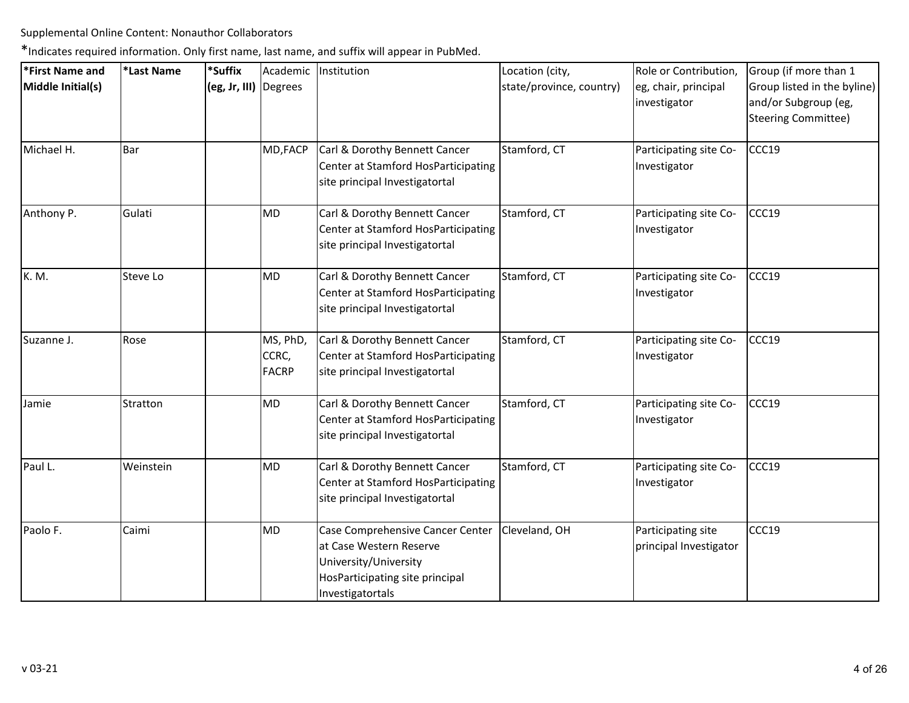| *First Name and   | *Last Name | *Suffix               |                                   | Academic Institution                                                                                                                        | Location (city,          | Role or Contribution,                        | Group (if more than 1                                                      |
|-------------------|------------|-----------------------|-----------------------------------|---------------------------------------------------------------------------------------------------------------------------------------------|--------------------------|----------------------------------------------|----------------------------------------------------------------------------|
| Middle Initial(s) |            | (eg, Jr, III) Degrees |                                   |                                                                                                                                             | state/province, country) | eg, chair, principal<br>investigator         | Group listed in the byline)<br>and/or Subgroup (eg,<br>Steering Committee) |
| Michael H.        | Bar        |                       | MD, FACP                          | Carl & Dorothy Bennett Cancer<br>Center at Stamford HosParticipating<br>site principal Investigatortal                                      | Stamford, CT             | Participating site Co-<br>Investigator       | CCC19                                                                      |
| Anthony P.        | Gulati     |                       | <b>MD</b>                         | Carl & Dorothy Bennett Cancer<br>Center at Stamford HosParticipating<br>site principal Investigatortal                                      | Stamford, CT             | Participating site Co-<br>Investigator       | CCC19                                                                      |
| K. M.             | Steve Lo   |                       | MD                                | Carl & Dorothy Bennett Cancer<br>Center at Stamford HosParticipating<br>site principal Investigatortal                                      | Stamford, CT             | Participating site Co-<br>Investigator       | CCC19                                                                      |
| Suzanne J.        | Rose       |                       | MS, PhD,<br>CCRC,<br><b>FACRP</b> | Carl & Dorothy Bennett Cancer<br>Center at Stamford HosParticipating<br>site principal Investigatortal                                      | Stamford, CT             | Participating site Co-<br>Investigator       | CCC19                                                                      |
| Jamie             | Stratton   |                       | <b>MD</b>                         | Carl & Dorothy Bennett Cancer<br>Center at Stamford HosParticipating<br>site principal Investigatortal                                      | Stamford, CT             | Participating site Co-<br>Investigator       | CCC19                                                                      |
| Paul L.           | Weinstein  |                       | MD                                | Carl & Dorothy Bennett Cancer<br>Center at Stamford HosParticipating<br>site principal Investigatortal                                      | Stamford, CT             | Participating site Co-<br>Investigator       | CCC19                                                                      |
| Paolo F.          | Caimi      |                       | <b>MD</b>                         | Case Comprehensive Cancer Center<br>at Case Western Reserve<br>University/University<br>HosParticipating site principal<br>Investigatortals | Cleveland, OH            | Participating site<br>principal Investigator | CCC19                                                                      |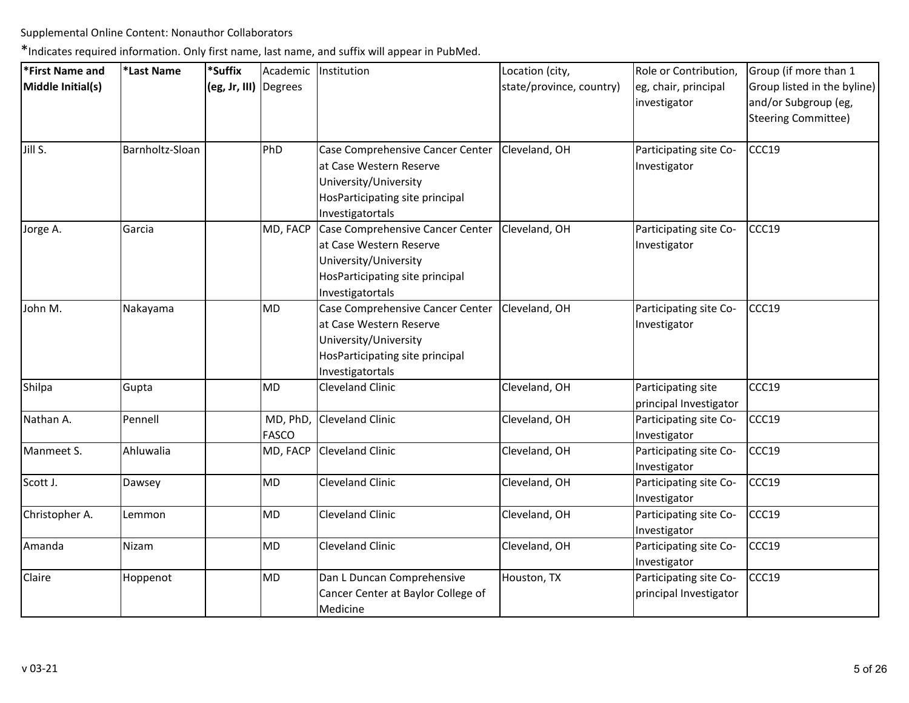| <b>First Name and</b> | *Last Name      | *Suffix               | Academic                 | Institution                                                                                                                                 | Location (city,          | Role or Contribution,                            | Group (if more than 1                                                      |
|-----------------------|-----------------|-----------------------|--------------------------|---------------------------------------------------------------------------------------------------------------------------------------------|--------------------------|--------------------------------------------------|----------------------------------------------------------------------------|
| Middle Initial(s)     |                 | (eg, Jr, III) Degrees |                          |                                                                                                                                             | state/province, country) | eg, chair, principal<br>investigator             | Group listed in the byline)<br>and/or Subgroup (eg,<br>Steering Committee) |
| Jill S.               | Barnholtz-Sloan |                       | PhD                      | Case Comprehensive Cancer Center<br>at Case Western Reserve<br>University/University<br>HosParticipating site principal<br>Investigatortals | Cleveland, OH            | Participating site Co-<br>Investigator           | CCC19                                                                      |
| Jorge A.              | Garcia          |                       | MD, FACP                 | Case Comprehensive Cancer Center<br>at Case Western Reserve<br>University/University<br>HosParticipating site principal<br>Investigatortals | Cleveland, OH            | Participating site Co-<br>Investigator           | CCC19                                                                      |
| John M.               | Nakayama        |                       | <b>MD</b>                | Case Comprehensive Cancer Center<br>at Case Western Reserve<br>University/University<br>HosParticipating site principal<br>Investigatortals | Cleveland, OH            | Participating site Co-<br>Investigator           | CCC19                                                                      |
| Shilpa                | Gupta           |                       | <b>MD</b>                | <b>Cleveland Clinic</b>                                                                                                                     | Cleveland, OH            | Participating site<br>principal Investigator     | CCC19                                                                      |
| Nathan A.             | Pennell         |                       | MD, PhD,<br><b>FASCO</b> | Cleveland Clinic                                                                                                                            | Cleveland, OH            | Participating site Co-<br>Investigator           | CCC19                                                                      |
| Manmeet S.            | Ahluwalia       |                       | MD, FACP                 | Cleveland Clinic                                                                                                                            | Cleveland, OH            | Participating site Co-<br>Investigator           | CCC19                                                                      |
| Scott J.              | Dawsey          |                       | MD                       | <b>Cleveland Clinic</b>                                                                                                                     | Cleveland, OH            | Participating site Co-<br>Investigator           | CCC19                                                                      |
| Christopher A.        | Lemmon          |                       | <b>MD</b>                | <b>Cleveland Clinic</b>                                                                                                                     | Cleveland, OH            | Participating site Co-<br>Investigator           | CCC19                                                                      |
| Amanda                | Nizam           |                       | <b>MD</b>                | <b>Cleveland Clinic</b>                                                                                                                     | Cleveland, OH            | Participating site Co-<br>Investigator           | CCC19                                                                      |
| Claire                | Hoppenot        |                       | MD                       | Dan L Duncan Comprehensive<br>Cancer Center at Baylor College of<br>Medicine                                                                | Houston, TX              | Participating site Co-<br>principal Investigator | CCC19                                                                      |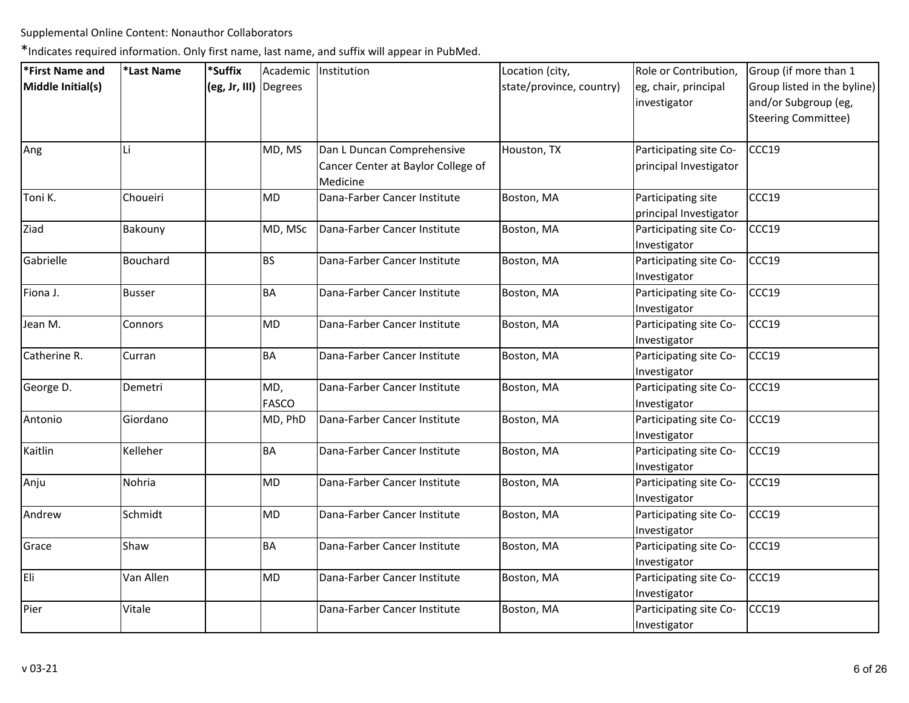| *First Name and   | *Last Name    | *Suffix               |                     | Academic   Institution                                                       | Location (city,          | Role or Contribution,                            | Group (if more than 1                                                             |
|-------------------|---------------|-----------------------|---------------------|------------------------------------------------------------------------------|--------------------------|--------------------------------------------------|-----------------------------------------------------------------------------------|
| Middle Initial(s) |               | (eg, Jr, III) Degrees |                     |                                                                              | state/province, country) | eg, chair, principal<br>investigator             | Group listed in the byline)<br>and/or Subgroup (eg,<br><b>Steering Committee)</b> |
| Ang               | Li            |                       | MD, MS              | Dan L Duncan Comprehensive<br>Cancer Center at Baylor College of<br>Medicine | Houston, TX              | Participating site Co-<br>principal Investigator | CCC19                                                                             |
| Toni K.           | Choueiri      |                       | <b>MD</b>           | Dana-Farber Cancer Institute                                                 | Boston, MA               | Participating site<br>principal Investigator     | CCC19                                                                             |
| Ziad              | Bakouny       |                       | MD, MSc             | Dana-Farber Cancer Institute                                                 | Boston, MA               | Participating site Co-<br>Investigator           | CCC19                                                                             |
| Gabrielle         | Bouchard      |                       | <b>BS</b>           | Dana-Farber Cancer Institute                                                 | Boston, MA               | Participating site Co-<br>Investigator           | CCC19                                                                             |
| Fiona J.          | <b>Busser</b> |                       | <b>BA</b>           | Dana-Farber Cancer Institute                                                 | Boston, MA               | Participating site Co-<br>Investigator           | CCC19                                                                             |
| Jean M.           | Connors       |                       | MD                  | Dana-Farber Cancer Institute                                                 | Boston, MA               | Participating site Co-<br>Investigator           | CCC19                                                                             |
| Catherine R.      | Curran        |                       | <b>BA</b>           | Dana-Farber Cancer Institute                                                 | Boston, MA               | Participating site Co-<br>Investigator           | CCC19                                                                             |
| George D.         | Demetri       |                       | MD,<br><b>FASCO</b> | Dana-Farber Cancer Institute                                                 | Boston, MA               | Participating site Co-<br>Investigator           | CCC19                                                                             |
| Antonio           | Giordano      |                       | MD, PhD             | Dana-Farber Cancer Institute                                                 | Boston, MA               | Participating site Co-<br>Investigator           | CCC19                                                                             |
| Kaitlin           | Kelleher      |                       | BA                  | Dana-Farber Cancer Institute                                                 | Boston, MA               | Participating site Co-<br>Investigator           | CCC19                                                                             |
| Anju              | Nohria        |                       | MD                  | Dana-Farber Cancer Institute                                                 | Boston, MA               | Participating site Co-<br>Investigator           | CCC19                                                                             |
| Andrew            | Schmidt       |                       | MD                  | Dana-Farber Cancer Institute                                                 | Boston, MA               | Participating site Co-<br>Investigator           | CCC19                                                                             |
| Grace             | Shaw          |                       | <b>BA</b>           | Dana-Farber Cancer Institute                                                 | Boston, MA               | Participating site Co-<br>Investigator           | CCC19                                                                             |
| Eli               | Van Allen     |                       | MD                  | Dana-Farber Cancer Institute                                                 | Boston, MA               | Participating site Co-<br>Investigator           | CCC19                                                                             |
| Pier              | Vitale        |                       |                     | Dana-Farber Cancer Institute                                                 | Boston, MA               | Participating site Co-<br>Investigator           | CCC19                                                                             |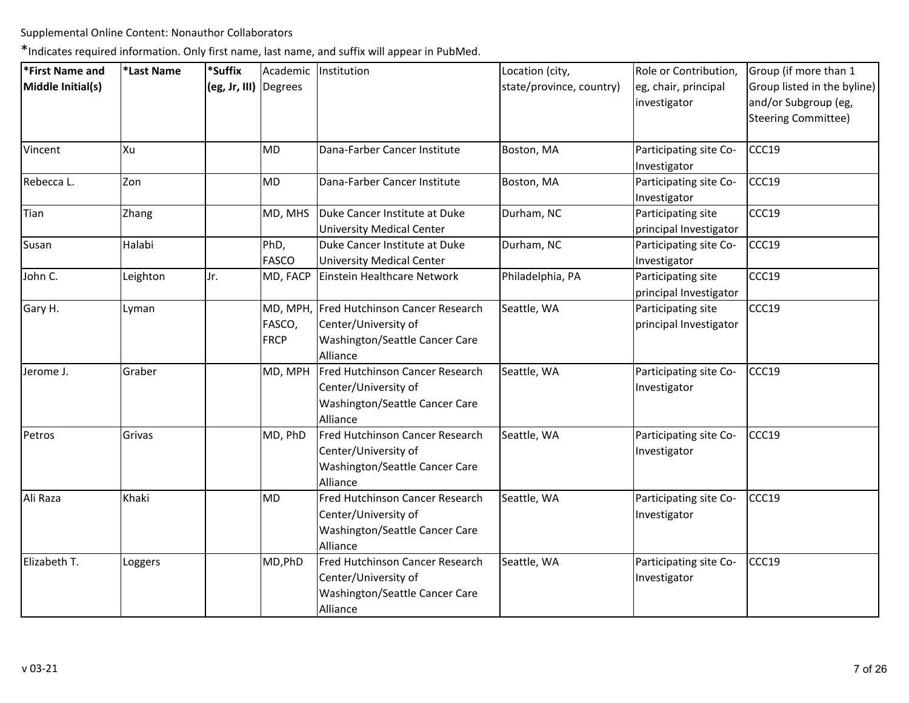| *First Name and   | *Last Name | *Suffix               | Academic              | Institution                                                                                                    | Location (city,          | Role or Contribution,                        | Group (if more than 1                                                             |
|-------------------|------------|-----------------------|-----------------------|----------------------------------------------------------------------------------------------------------------|--------------------------|----------------------------------------------|-----------------------------------------------------------------------------------|
| Middle Initial(s) |            | (eg, Jr, III) Degrees |                       |                                                                                                                | state/province, country) | eg, chair, principal<br>investigator         | Group listed in the byline)<br>and/or Subgroup (eg,<br><b>Steering Committee)</b> |
| Vincent           | Xu         |                       | <b>MD</b>             | Dana-Farber Cancer Institute                                                                                   | Boston, MA               | Participating site Co-<br>Investigator       | CCC19                                                                             |
| Rebecca L.        | Zon        |                       | <b>MD</b>             | Dana-Farber Cancer Institute                                                                                   | Boston, MA               | Participating site Co-<br>Investigator       | CCC19                                                                             |
| Tian              | Zhang      |                       | MD, MHS               | Duke Cancer Institute at Duke<br><b>University Medical Center</b>                                              | Durham, NC               | Participating site<br>principal Investigator | CCC19                                                                             |
| Susan             | Halabi     |                       | PhD,<br><b>FASCO</b>  | Duke Cancer Institute at Duke<br><b>University Medical Center</b>                                              | Durham, NC               | Participating site Co-<br>Investigator       | CCC19                                                                             |
| John C.           | Leighton   | Jr.                   | MD, FACP              | Einstein Healthcare Network                                                                                    | Philadelphia, PA         | Participating site<br>principal Investigator | CCC19                                                                             |
| Gary H.           | Lyman      |                       | FASCO,<br><b>FRCP</b> | MD, MPH, Fred Hutchinson Cancer Research<br>Center/University of<br>Washington/Seattle Cancer Care<br>Alliance | Seattle, WA              | Participating site<br>principal Investigator | CCC19                                                                             |
| Jerome J.         | Graber     |                       | MD, MPH               | Fred Hutchinson Cancer Research<br>Center/University of<br>Washington/Seattle Cancer Care<br>Alliance          | Seattle, WA              | Participating site Co-<br>Investigator       | CCC19                                                                             |
| Petros            | Grivas     |                       | MD, PhD               | Fred Hutchinson Cancer Research<br>Center/University of<br>Washington/Seattle Cancer Care<br>Alliance          | Seattle, WA              | Participating site Co-<br>Investigator       | CCC19                                                                             |
| Ali Raza          | Khaki      |                       | <b>MD</b>             | Fred Hutchinson Cancer Research<br>Center/University of<br>Washington/Seattle Cancer Care<br>Alliance          | Seattle, WA              | Participating site Co-<br>Investigator       | CCC19                                                                             |
| Elizabeth T.      | Loggers    |                       | MD, PhD               | Fred Hutchinson Cancer Research<br>Center/University of<br>Washington/Seattle Cancer Care<br>Alliance          | Seattle, WA              | Participating site Co-<br>Investigator       | CCC19                                                                             |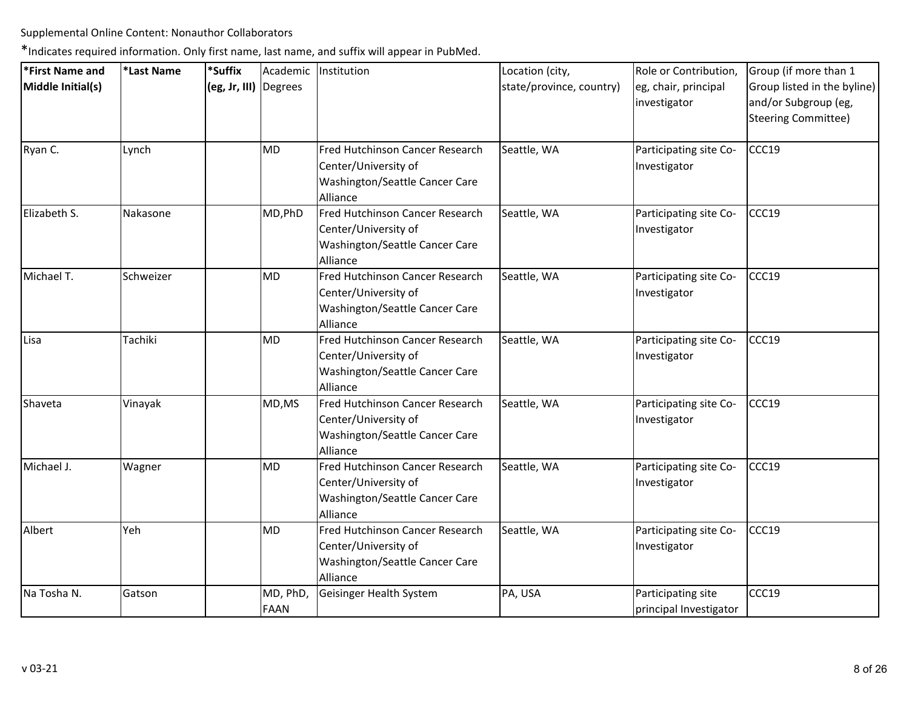| *First Name and   | *Last Name | *Suffix               | Academic               | Institution                                                                                           | Location (city,          | Role or Contribution,                        | Group (if more than 1                                                      |
|-------------------|------------|-----------------------|------------------------|-------------------------------------------------------------------------------------------------------|--------------------------|----------------------------------------------|----------------------------------------------------------------------------|
| Middle Initial(s) |            | (eg, Jr, III) Degrees |                        |                                                                                                       | state/province, country) | eg, chair, principal<br>investigator         | Group listed in the byline)<br>and/or Subgroup (eg,<br>Steering Committee) |
| Ryan C.           | Lynch      |                       | MD                     | Fred Hutchinson Cancer Research<br>Center/University of<br>Washington/Seattle Cancer Care<br>Alliance | Seattle, WA              | Participating site Co-<br>Investigator       | CCC19                                                                      |
| Elizabeth S.      | Nakasone   |                       | MD, PhD                | Fred Hutchinson Cancer Research<br>Center/University of<br>Washington/Seattle Cancer Care<br>Alliance | Seattle, WA              | Participating site Co-<br>Investigator       | CCC19                                                                      |
| Michael T.        | Schweizer  |                       | <b>MD</b>              | Fred Hutchinson Cancer Research<br>Center/University of<br>Washington/Seattle Cancer Care<br>Alliance | Seattle, WA              | Participating site Co-<br>Investigator       | CCC19                                                                      |
| Lisa              | Tachiki    |                       | <b>MD</b>              | Fred Hutchinson Cancer Research<br>Center/University of<br>Washington/Seattle Cancer Care<br>Alliance | Seattle, WA              | Participating site Co-<br>Investigator       | CCC19                                                                      |
| Shaveta           | Vinayak    |                       | MD, MS                 | Fred Hutchinson Cancer Research<br>Center/University of<br>Washington/Seattle Cancer Care<br>Alliance | Seattle, WA              | Participating site Co-<br>Investigator       | CCC19                                                                      |
| Michael J.        | Wagner     |                       | <b>MD</b>              | Fred Hutchinson Cancer Research<br>Center/University of<br>Washington/Seattle Cancer Care<br>Alliance | Seattle, WA              | Participating site Co-<br>Investigator       | CCC19                                                                      |
| Albert            | Yeh        |                       | MD                     | Fred Hutchinson Cancer Research<br>Center/University of<br>Washington/Seattle Cancer Care<br>Alliance | Seattle, WA              | Participating site Co-<br>Investigator       | CCC19                                                                      |
| Na Tosha N.       | Gatson     |                       | MD, PhD<br><b>FAAN</b> | Geisinger Health System                                                                               | PA, USA                  | Participating site<br>principal Investigator | CCC19                                                                      |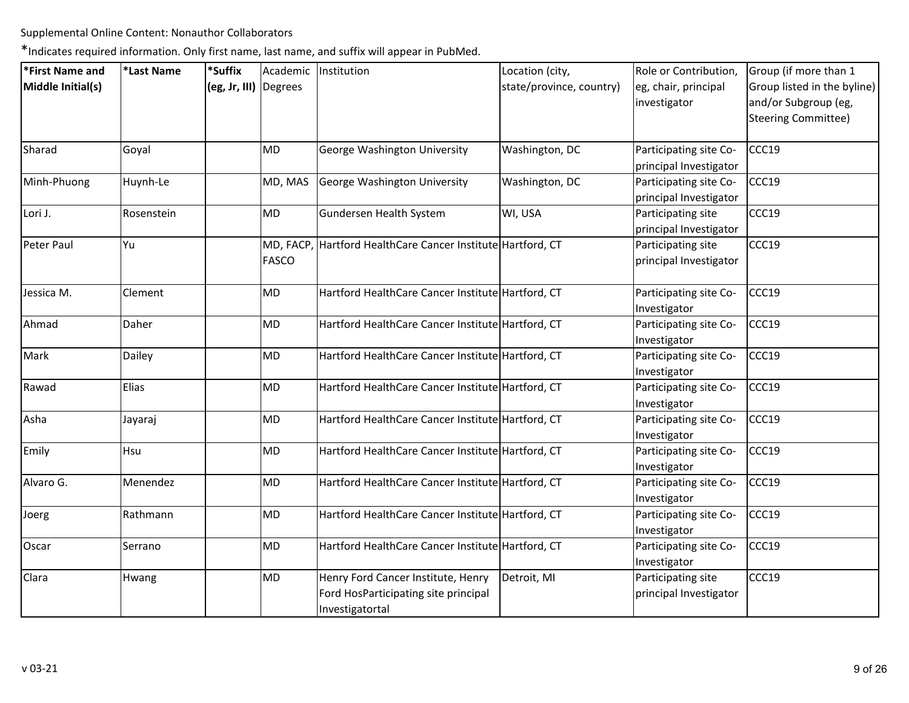| *First Name and   | *Last Name | *Suffix               |              | Academic Institution                                        | Location (city,          | Role or Contribution,  | Group (if more than 1       |
|-------------------|------------|-----------------------|--------------|-------------------------------------------------------------|--------------------------|------------------------|-----------------------------|
| Middle Initial(s) |            | (eg, Jr, III) Degrees |              |                                                             | state/province, country) | eg, chair, principal   | Group listed in the byline) |
|                   |            |                       |              |                                                             |                          | investigator           | and/or Subgroup (eg,        |
|                   |            |                       |              |                                                             |                          |                        | <b>Steering Committee)</b>  |
| Sharad            | Goyal      |                       | <b>MD</b>    | George Washington University                                | Washington, DC           | Participating site Co- | CCC19                       |
|                   |            |                       |              |                                                             |                          | principal Investigator |                             |
| Minh-Phuong       | Huynh-Le   |                       | MD, MAS      | George Washington University                                | Washington, DC           | Participating site Co- | CCC19                       |
|                   |            |                       |              |                                                             |                          | principal Investigator |                             |
| Lori J.           | Rosenstein |                       | <b>MD</b>    | Gundersen Health System                                     | WI, USA                  | Participating site     | CCC19                       |
|                   |            |                       |              |                                                             |                          | principal Investigator |                             |
| Peter Paul        | Yu         |                       |              | MD, FACP, Hartford HealthCare Cancer Institute Hartford, CT |                          | Participating site     | CCC19                       |
|                   |            |                       | <b>FASCO</b> |                                                             |                          | principal Investigator |                             |
| Jessica M.        | Clement    |                       | MD           | Hartford HealthCare Cancer Institute Hartford, CT           |                          | Participating site Co- | CCC19                       |
|                   |            |                       |              |                                                             |                          | Investigator           |                             |
| Ahmad             | Daher      |                       | <b>MD</b>    | Hartford HealthCare Cancer Institute Hartford, CT           |                          | Participating site Co- | CCC19                       |
|                   |            |                       |              |                                                             |                          | Investigator           |                             |
| Mark              | Dailey     |                       | <b>MD</b>    | Hartford HealthCare Cancer Institute Hartford, CT           |                          | Participating site Co- | CCC19                       |
|                   |            |                       |              |                                                             |                          | Investigator           |                             |
| Rawad             | Elias      |                       | MD           | Hartford HealthCare Cancer Institute Hartford, CT           |                          | Participating site Co- | CCC19                       |
|                   |            |                       |              |                                                             |                          | Investigator           |                             |
| Asha              | Jayaraj    |                       | <b>MD</b>    | Hartford HealthCare Cancer Institute Hartford, CT           |                          | Participating site Co- | CCC19                       |
|                   |            |                       |              |                                                             |                          | Investigator           |                             |
| Emily             | Hsu        |                       | MD           | Hartford HealthCare Cancer Institute Hartford, CT           |                          | Participating site Co- | CCC19                       |
|                   |            |                       |              |                                                             |                          | Investigator           |                             |
| Alvaro G.         | Menendez   |                       | <b>MD</b>    | Hartford HealthCare Cancer Institute Hartford, CT           |                          | Participating site Co- | CCC19                       |
|                   |            |                       |              |                                                             |                          | Investigator           |                             |
| Joerg             | Rathmann   |                       | MD           | Hartford HealthCare Cancer Institute Hartford, CT           |                          | Participating site Co- | CCC19                       |
|                   |            |                       |              |                                                             |                          | Investigator           |                             |
| Oscar             | Serrano    |                       | MD           | Hartford HealthCare Cancer Institute Hartford, CT           |                          | Participating site Co- | CCC19                       |
|                   |            |                       |              |                                                             |                          | Investigator           |                             |
| Clara             | Hwang      |                       | MD           | Henry Ford Cancer Institute, Henry                          | Detroit, MI              | Participating site     | CCC19                       |
|                   |            |                       |              | Ford HosParticipating site principal                        |                          | principal Investigator |                             |
|                   |            |                       |              | Investigatortal                                             |                          |                        |                             |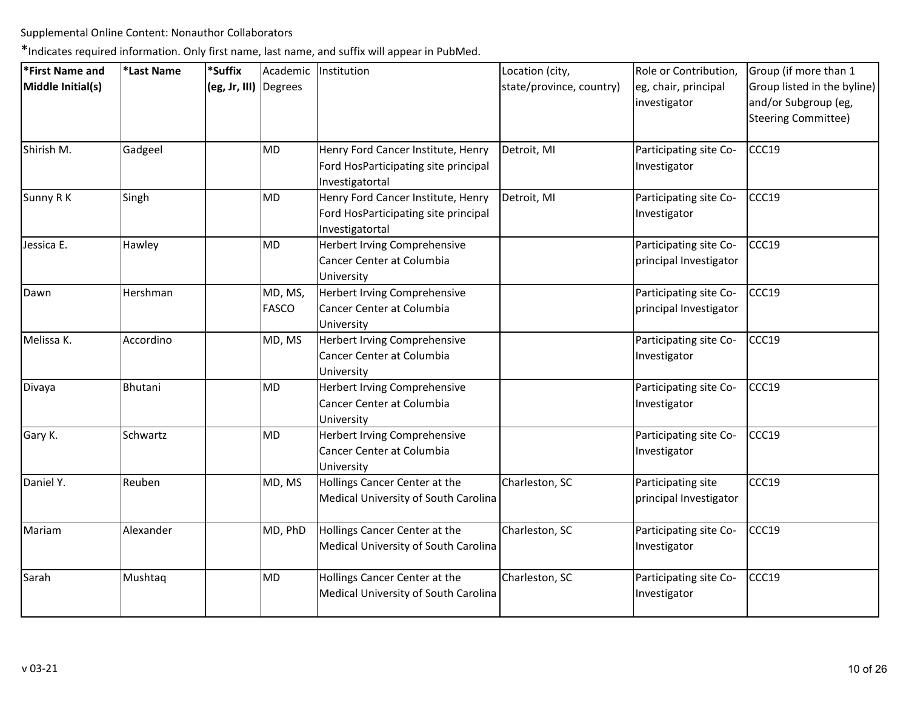| *First Name and   | *Last Name | *Suffix               | Academic                | Institution                                                                                   | Location (city,          | Role or Contribution,                            | Group (if more than 1                                                      |
|-------------------|------------|-----------------------|-------------------------|-----------------------------------------------------------------------------------------------|--------------------------|--------------------------------------------------|----------------------------------------------------------------------------|
| Middle Initial(s) |            | (eg, Jr, III) Degrees |                         |                                                                                               | state/province, country) | eg, chair, principal<br>investigator             | Group listed in the byline)<br>and/or Subgroup (eg,<br>Steering Committee) |
| Shirish M.        | Gadgeel    |                       | MD                      | Henry Ford Cancer Institute, Henry<br>Ford HosParticipating site principal<br>Investigatortal | Detroit, MI              | Participating site Co-<br>Investigator           | CCC19                                                                      |
| Sunny R K         | Singh      |                       | <b>MD</b>               | Henry Ford Cancer Institute, Henry<br>Ford HosParticipating site principal<br>Investigatortal | Detroit, MI              | Participating site Co-<br>Investigator           | CCC19                                                                      |
| Jessica E.        | Hawley     |                       | MD                      | Herbert Irving Comprehensive<br>Cancer Center at Columbia<br>University                       |                          | Participating site Co-<br>principal Investigator | CCC19                                                                      |
| Dawn              | Hershman   |                       | MD, MS,<br><b>FASCO</b> | Herbert Irving Comprehensive<br>Cancer Center at Columbia<br>University                       |                          | Participating site Co-<br>principal Investigator | CCC19                                                                      |
| Melissa K.        | Accordino  |                       | MD, MS                  | Herbert Irving Comprehensive<br>Cancer Center at Columbia<br>University                       |                          | Participating site Co-<br>Investigator           | CCC19                                                                      |
| Divaya            | Bhutani    |                       | <b>MD</b>               | Herbert Irving Comprehensive<br>Cancer Center at Columbia<br>University                       |                          | Participating site Co-<br>Investigator           | CCC19                                                                      |
| Gary K.           | Schwartz   |                       | MD                      | Herbert Irving Comprehensive<br>Cancer Center at Columbia<br>University                       |                          | Participating site Co-<br>Investigator           | CCC19                                                                      |
| Daniel Y.         | Reuben     |                       | MD, MS                  | Hollings Cancer Center at the<br>Medical University of South Carolina                         | Charleston, SC           | Participating site<br>principal Investigator     | CCC19                                                                      |
| Mariam            | Alexander  |                       | MD, PhD                 | Hollings Cancer Center at the<br>Medical University of South Carolina                         | Charleston, SC           | Participating site Co-<br>Investigator           | CCC19                                                                      |
| Sarah             | Mushtaq    |                       | MD                      | Hollings Cancer Center at the<br>Medical University of South Carolina                         | Charleston, SC           | Participating site Co-<br>Investigator           | CCC19                                                                      |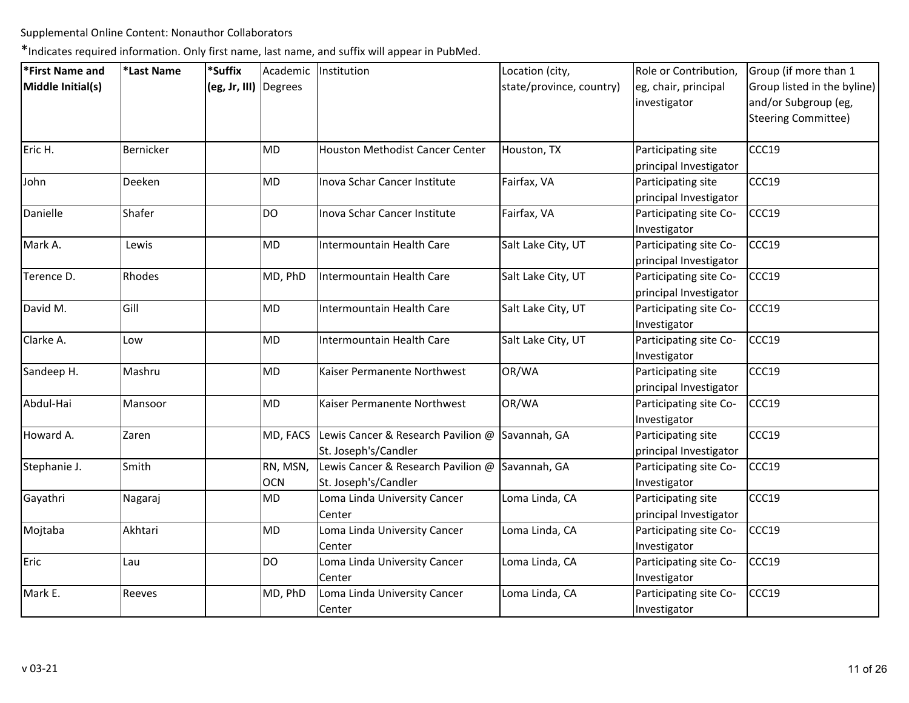| *First Name and   | *Last Name | *Suffix               |            | Academic   Institution                                          | Location (city,          | Role or Contribution,  | Group (if more than 1       |
|-------------------|------------|-----------------------|------------|-----------------------------------------------------------------|--------------------------|------------------------|-----------------------------|
| Middle Initial(s) |            | (eg, Jr, III) Degrees |            |                                                                 | state/province, country) | eg, chair, principal   | Group listed in the byline) |
|                   |            |                       |            |                                                                 |                          | investigator           | and/or Subgroup (eg,        |
|                   |            |                       |            |                                                                 |                          |                        | <b>Steering Committee)</b>  |
| Eric H.           | Bernicker  |                       | <b>MD</b>  | <b>Houston Methodist Cancer Center</b>                          | Houston, TX              | Participating site     | CCC19                       |
|                   |            |                       |            |                                                                 |                          | principal Investigator |                             |
| John              | Deeken     |                       | <b>MD</b>  | Inova Schar Cancer Institute                                    | Fairfax, VA              | Participating site     | CCC19                       |
|                   |            |                       |            |                                                                 |                          | principal Investigator |                             |
| Danielle          | Shafer     |                       | <b>DO</b>  | Inova Schar Cancer Institute                                    | Fairfax, VA              | Participating site Co- | CCC19                       |
|                   |            |                       |            |                                                                 |                          | Investigator           |                             |
| Mark A.           | Lewis      |                       | <b>MD</b>  | Intermountain Health Care                                       | Salt Lake City, UT       | Participating site Co- | CCC19                       |
|                   |            |                       |            |                                                                 |                          | principal Investigator |                             |
| Terence D.        | Rhodes     |                       | MD, PhD    | Intermountain Health Care                                       | Salt Lake City, UT       | Participating site Co- | CCC19                       |
|                   |            |                       |            |                                                                 |                          | principal Investigator |                             |
| David M.          | Gill       |                       | <b>MD</b>  | Intermountain Health Care                                       | Salt Lake City, UT       | Participating site Co- | CCC19                       |
|                   |            |                       |            |                                                                 |                          | Investigator           |                             |
| Clarke A.         | Low        |                       | <b>MD</b>  | Intermountain Health Care                                       | Salt Lake City, UT       | Participating site Co- | CCC19                       |
|                   |            |                       |            |                                                                 |                          | Investigator           |                             |
| Sandeep H.        | Mashru     |                       | <b>MD</b>  | Kaiser Permanente Northwest                                     | OR/WA                    | Participating site     | CCC19                       |
|                   |            |                       |            |                                                                 |                          | principal Investigator |                             |
| Abdul-Hai         | Mansoor    |                       | <b>MD</b>  | Kaiser Permanente Northwest                                     | OR/WA                    | Participating site Co- | CCC19                       |
|                   |            |                       |            |                                                                 |                          | Investigator           |                             |
| Howard A.         | Zaren      |                       |            | MD, FACS Lewis Cancer & Research Pavilion $\omega$ Savannah, GA |                          | Participating site     | CCC19                       |
|                   |            |                       |            | St. Joseph's/Candler                                            |                          | principal Investigator |                             |
| Stephanie J.      | Smith      |                       | RN, MSN,   | Lewis Cancer & Research Pavilion @ Savannah, GA                 |                          | Participating site Co- | CCC19                       |
|                   |            |                       | <b>OCN</b> | St. Joseph's/Candler                                            |                          | Investigator           |                             |
| Gayathri          | Nagaraj    |                       | MD         | Loma Linda University Cancer                                    | Loma Linda, CA           | Participating site     | CCC19                       |
|                   |            |                       |            | Center                                                          |                          | principal Investigator |                             |
| Mojtaba           | Akhtari    |                       | <b>MD</b>  | Loma Linda University Cancer                                    | Loma Linda, CA           | Participating site Co- | CCC19                       |
|                   |            |                       |            | Center                                                          |                          | Investigator           |                             |
| Eric              | Lau        |                       | <b>DO</b>  | Loma Linda University Cancer                                    | Loma Linda, CA           | Participating site Co- | CCC19                       |
|                   |            |                       |            | Center                                                          |                          | Investigator           |                             |
| Mark E.           | Reeves     |                       | MD, PhD    | Loma Linda University Cancer                                    | Loma Linda, CA           | Participating site Co- | CCC19                       |
|                   |            |                       |            | Center                                                          |                          | Investigator           |                             |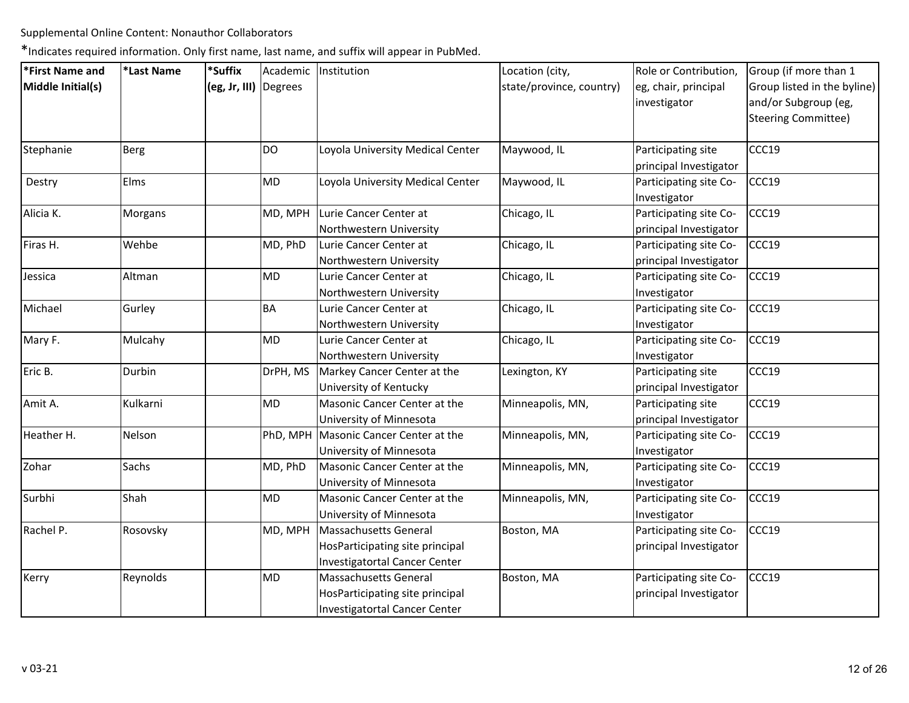| *First Name and   | *Last Name  | *Suffix               |           | Academic   Institution                | Location (city,          | Role or Contribution,                  | Group (if more than 1                               |
|-------------------|-------------|-----------------------|-----------|---------------------------------------|--------------------------|----------------------------------------|-----------------------------------------------------|
| Middle Initial(s) |             | (eg, Jr, III) Degrees |           |                                       | state/province, country) | eg, chair, principal<br>investigator   | Group listed in the byline)<br>and/or Subgroup (eg, |
|                   |             |                       |           |                                       |                          |                                        | Steering Committee)                                 |
| Stephanie         | <b>Berg</b> |                       | <b>DO</b> | Loyola University Medical Center      | Maywood, IL              | Participating site                     | CCC19                                               |
|                   |             |                       |           |                                       |                          | principal Investigator                 |                                                     |
| Destry            | Elms        |                       | <b>MD</b> | Loyola University Medical Center      | Maywood, IL              | Participating site Co-<br>Investigator | CCC19                                               |
| Alicia K.         | Morgans     |                       | MD, MPH   | Lurie Cancer Center at                | Chicago, IL              | Participating site Co-                 | CCC19                                               |
|                   |             |                       |           | Northwestern University               |                          | principal Investigator                 |                                                     |
| Firas H.          | Wehbe       |                       | MD, PhD   | Lurie Cancer Center at                | Chicago, IL              | Participating site Co-                 | CCC19                                               |
|                   |             |                       |           | Northwestern University               |                          | principal Investigator                 |                                                     |
| Jessica           | Altman      |                       | MD        | Lurie Cancer Center at                | Chicago, IL              | Participating site Co-                 | CCC19                                               |
|                   |             |                       |           | Northwestern University               |                          | Investigator                           |                                                     |
| Michael           | Gurley      |                       | BA        | Lurie Cancer Center at                | Chicago, IL              | Participating site Co-                 | CCC19                                               |
|                   |             |                       |           | Northwestern University               |                          | Investigator                           |                                                     |
| Mary F.           | Mulcahy     |                       | <b>MD</b> | Lurie Cancer Center at                | Chicago, IL              | Participating site Co-                 | CCC19                                               |
|                   |             |                       |           | Northwestern University               |                          | Investigator                           |                                                     |
| Eric B.           | Durbin      |                       | DrPH, MS  | Markey Cancer Center at the           | Lexington, KY            | Participating site                     | CCC19                                               |
|                   |             |                       |           | University of Kentucky                |                          | principal Investigator                 |                                                     |
| Amit A.           | Kulkarni    |                       | MD        | Masonic Cancer Center at the          | Minneapolis, MN,         | Participating site                     | CCC19                                               |
|                   |             |                       |           | University of Minnesota               |                          | principal Investigator                 |                                                     |
| Heather H.        | Nelson      |                       |           | PhD, MPH Masonic Cancer Center at the | Minneapolis, MN,         | Participating site Co-                 | CCC19                                               |
|                   |             |                       |           | University of Minnesota               |                          | Investigator                           |                                                     |
| Zohar             | Sachs       |                       | MD, PhD   | Masonic Cancer Center at the          | Minneapolis, MN,         | Participating site Co-                 | CCC19                                               |
|                   |             |                       |           | University of Minnesota               |                          | Investigator                           |                                                     |
| Surbhi            | Shah        |                       | MD        | Masonic Cancer Center at the          | Minneapolis, MN,         | Participating site Co-                 | CCC19                                               |
|                   |             |                       |           | University of Minnesota               |                          | Investigator                           |                                                     |
| Rachel P.         | Rosovsky    |                       | MD, MPH   | Massachusetts General                 | Boston, MA               | Participating site Co-                 | CCC19                                               |
|                   |             |                       |           | HosParticipating site principal       |                          | principal Investigator                 |                                                     |
|                   |             |                       |           | <b>Investigatortal Cancer Center</b>  |                          |                                        |                                                     |
| Kerry             | Reynolds    |                       | <b>MD</b> | Massachusetts General                 | Boston, MA               | Participating site Co-                 | CCC19                                               |
|                   |             |                       |           | HosParticipating site principal       |                          | principal Investigator                 |                                                     |
|                   |             |                       |           | Investigatortal Cancer Center         |                          |                                        |                                                     |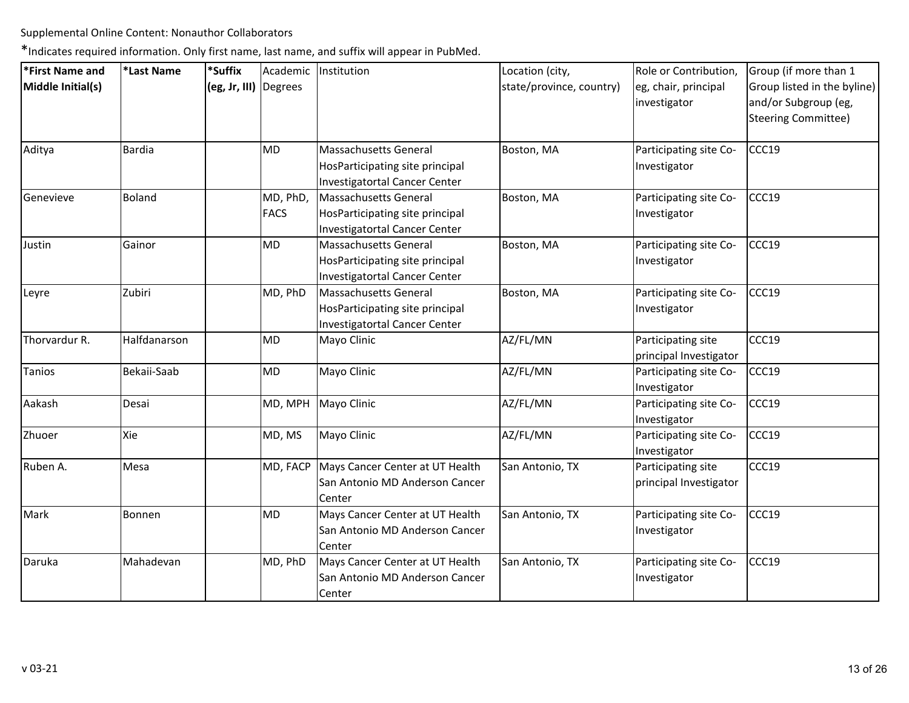| *First Name and   | *Last Name    | *Suffix               |             | Academic   Institution               | Location (city,          | Role or Contribution,  | Group (if more than 1       |
|-------------------|---------------|-----------------------|-------------|--------------------------------------|--------------------------|------------------------|-----------------------------|
| Middle Initial(s) |               | (eg, Jr, III) Degrees |             |                                      | state/province, country) | eg, chair, principal   | Group listed in the byline) |
|                   |               |                       |             |                                      |                          | investigator           | and/or Subgroup (eg,        |
|                   |               |                       |             |                                      |                          |                        | <b>Steering Committee)</b>  |
| Aditya            | <b>Bardia</b> |                       | <b>MD</b>   | Massachusetts General                | Boston, MA               | Participating site Co- | CCC19                       |
|                   |               |                       |             | HosParticipating site principal      |                          | Investigator           |                             |
|                   |               |                       |             | <b>Investigatortal Cancer Center</b> |                          |                        |                             |
| Genevieve         | Boland        |                       | MD, PhD,    | <b>Massachusetts General</b>         | Boston, MA               | Participating site Co- | CCC19                       |
|                   |               |                       | <b>FACS</b> | HosParticipating site principal      |                          | Investigator           |                             |
|                   |               |                       |             | <b>Investigatortal Cancer Center</b> |                          |                        |                             |
| Justin            | Gainor        |                       | <b>MD</b>   | <b>Massachusetts General</b>         | Boston, MA               | Participating site Co- | CCC19                       |
|                   |               |                       |             | HosParticipating site principal      |                          | Investigator           |                             |
|                   |               |                       |             | Investigatortal Cancer Center        |                          |                        |                             |
| Leyre             | Zubiri        |                       | MD, PhD     | <b>Massachusetts General</b>         | Boston, MA               | Participating site Co- | CCC19                       |
|                   |               |                       |             | HosParticipating site principal      |                          | Investigator           |                             |
|                   |               |                       |             | Investigatortal Cancer Center        |                          |                        |                             |
| Thorvardur R.     | Halfdanarson  |                       | <b>MD</b>   | Mayo Clinic                          | AZ/FL/MN                 | Participating site     | CCC19                       |
|                   |               |                       |             |                                      |                          | principal Investigator |                             |
| Tanios            | Bekaii-Saab   |                       | <b>MD</b>   | Mayo Clinic                          | AZ/FL/MN                 | Participating site Co- | CCC19                       |
|                   |               |                       |             |                                      |                          | Investigator           |                             |
| Aakash            | Desai         |                       | MD, MPH     | Mayo Clinic                          | AZ/FL/MN                 | Participating site Co- | CCC19                       |
|                   |               |                       |             |                                      |                          | Investigator           |                             |
| Zhuoer            | Xie           |                       | MD, MS      | Mayo Clinic                          | AZ/FL/MN                 | Participating site Co- | CCC19                       |
|                   |               |                       |             |                                      |                          | Investigator           |                             |
| Ruben A.          | Mesa          |                       | MD, FACP    | Mays Cancer Center at UT Health      | San Antonio, TX          | Participating site     | CCC19                       |
|                   |               |                       |             | San Antonio MD Anderson Cancer       |                          | principal Investigator |                             |
|                   |               |                       |             | Center                               |                          |                        |                             |
| Mark              | Bonnen        |                       | <b>MD</b>   | Mays Cancer Center at UT Health      | San Antonio, TX          | Participating site Co- | CCC19                       |
|                   |               |                       |             | San Antonio MD Anderson Cancer       |                          | Investigator           |                             |
|                   |               |                       |             | Center                               |                          |                        |                             |
| Daruka            | Mahadevan     |                       | MD, PhD     | Mays Cancer Center at UT Health      | San Antonio, TX          | Participating site Co- | CCC19                       |
|                   |               |                       |             | San Antonio MD Anderson Cancer       |                          | Investigator           |                             |
|                   |               |                       |             | Center                               |                          |                        |                             |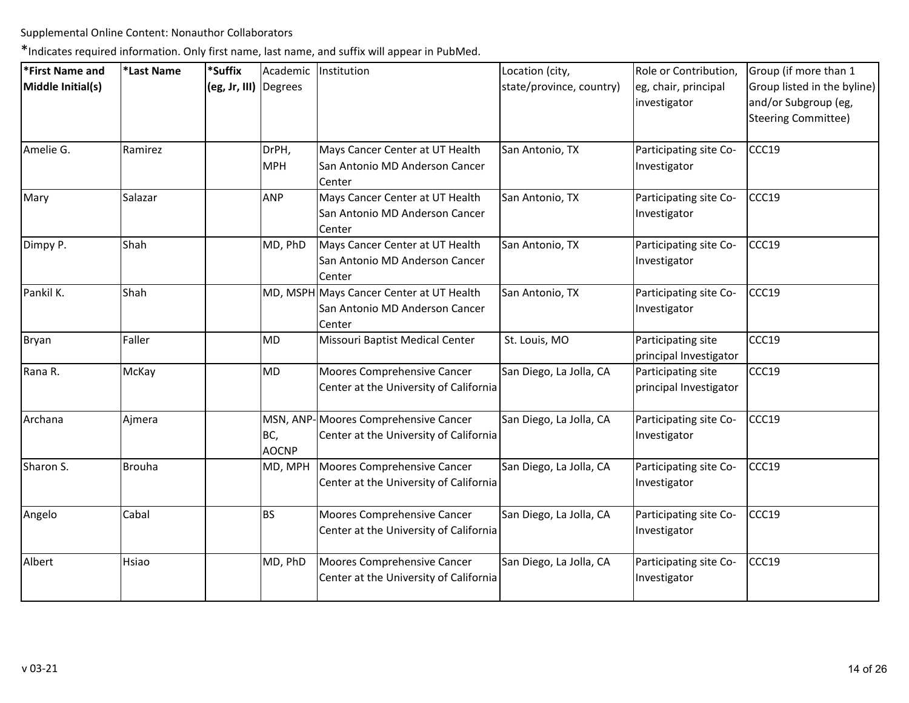| *First Name and   | *Last Name | *Suffix               |                     | Academic Institution                                                                 | Location (city,          | Role or Contribution,                        | Group (if more than 1                                                             |
|-------------------|------------|-----------------------|---------------------|--------------------------------------------------------------------------------------|--------------------------|----------------------------------------------|-----------------------------------------------------------------------------------|
| Middle Initial(s) |            | (eg, Jr, III) Degrees |                     |                                                                                      | state/province, country) | eg, chair, principal<br>investigator         | Group listed in the byline)<br>and/or Subgroup (eg,<br><b>Steering Committee)</b> |
| Amelie G.         | Ramirez    |                       | DrPH,<br><b>MPH</b> | Mays Cancer Center at UT Health<br>San Antonio MD Anderson Cancer<br>Center          | San Antonio, TX          | Participating site Co-<br>Investigator       | CCC19                                                                             |
| Mary              | Salazar    |                       | <b>ANP</b>          | Mays Cancer Center at UT Health<br>San Antonio MD Anderson Cancer<br>Center          | San Antonio, TX          | Participating site Co-<br>Investigator       | CCC19                                                                             |
| Dimpy P.          | Shah       |                       | MD, PhD             | Mays Cancer Center at UT Health<br>San Antonio MD Anderson Cancer<br>Center          | San Antonio, TX          | Participating site Co-<br>Investigator       | CCC19                                                                             |
| Pankil K.         | Shah       |                       |                     | MD, MSPH Mays Cancer Center at UT Health<br>San Antonio MD Anderson Cancer<br>Center | San Antonio, TX          | Participating site Co-<br>Investigator       | CCC19                                                                             |
| Bryan             | Faller     |                       | <b>MD</b>           | Missouri Baptist Medical Center                                                      | St. Louis, MO            | Participating site<br>principal Investigator | CCC19                                                                             |
| Rana R.           | McKay      |                       | MD                  | Moores Comprehensive Cancer<br>Center at the University of California                | San Diego, La Jolla, CA  | Participating site<br>principal Investigator | CCC19                                                                             |
| Archana           | Ajmera     |                       | BC,<br><b>AOCNP</b> | MSN, ANP-Moores Comprehensive Cancer<br>Center at the University of California       | San Diego, La Jolla, CA  | Participating site Co-<br>Investigator       | CCC19                                                                             |
| Sharon S.         | Brouha     |                       | MD, MPH             | Moores Comprehensive Cancer<br>Center at the University of California                | San Diego, La Jolla, CA  | Participating site Co-<br>Investigator       | CCC19                                                                             |
| Angelo            | Cabal      |                       | <b>BS</b>           | Moores Comprehensive Cancer<br>Center at the University of California                | San Diego, La Jolla, CA  | Participating site Co-<br>Investigator       | CCC19                                                                             |
| Albert            | Hsiao      |                       | MD, PhD             | Moores Comprehensive Cancer<br>Center at the University of California                | San Diego, La Jolla, CA  | Participating site Co-<br>Investigator       | CCC19                                                                             |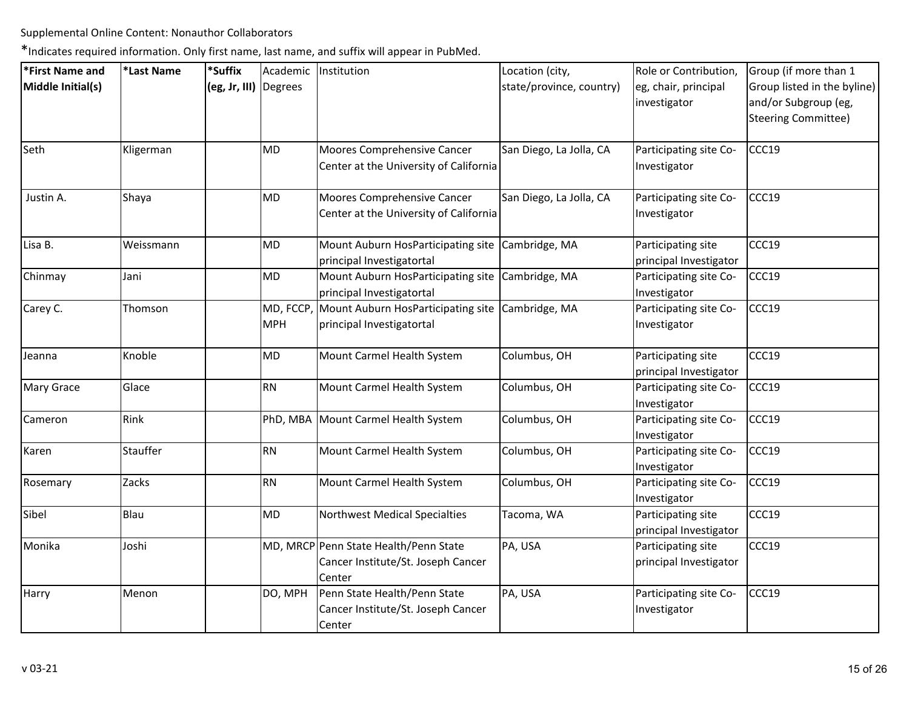| *First Name and   | *Last Name | *Suffix               |                        | Academic   Institution                                                                | Location (city,          | Role or Contribution,                        | Group (if more than 1                                                             |
|-------------------|------------|-----------------------|------------------------|---------------------------------------------------------------------------------------|--------------------------|----------------------------------------------|-----------------------------------------------------------------------------------|
| Middle Initial(s) |            | (eg, Jr, III) Degrees |                        |                                                                                       | state/province, country) | eg, chair, principal<br>investigator         | Group listed in the byline)<br>and/or Subgroup (eg,<br><b>Steering Committee)</b> |
| Seth              | Kligerman  |                       | MD                     | Moores Comprehensive Cancer<br>Center at the University of California                 | San Diego, La Jolla, CA  | Participating site Co-<br>Investigator       | CCC19                                                                             |
| Justin A.         | Shaya      |                       | MD                     | Moores Comprehensive Cancer<br>Center at the University of California                 | San Diego, La Jolla, CA  | Participating site Co-<br>Investigator       | CCC19                                                                             |
| Lisa B.           | Weissmann  |                       | MD                     | Mount Auburn HosParticipating site Cambridge, MA<br>principal Investigatortal         |                          | Participating site<br>principal Investigator | CCC19                                                                             |
| Chinmay           | Jani       |                       | MD                     | Mount Auburn HosParticipating site Cambridge, MA<br>principal Investigatortal         |                          | Participating site Co-<br>Investigator       | CCC19                                                                             |
| Carey C.          | Thomson    |                       | MD, FCCP<br><b>MPH</b> | Mount Auburn HosParticipating site Cambridge, MA<br>principal Investigatortal         |                          | Participating site Co-<br>Investigator       | CCC19                                                                             |
| Jeanna            | Knoble     |                       | MD                     | Mount Carmel Health System                                                            | Columbus, OH             | Participating site<br>principal Investigator | CCC19                                                                             |
| Mary Grace        | Glace      |                       | RN                     | Mount Carmel Health System                                                            | Columbus, OH             | Participating site Co-<br>Investigator       | CCC19                                                                             |
| Cameron           | Rink       |                       |                        | PhD, MBA Mount Carmel Health System                                                   | Columbus, OH             | Participating site Co-<br>Investigator       | CCC19                                                                             |
| Karen             | Stauffer   |                       | RN                     | Mount Carmel Health System                                                            | Columbus, OH             | Participating site Co-<br>Investigator       | CCC19                                                                             |
| Rosemary          | Zacks      |                       | RN                     | Mount Carmel Health System                                                            | Columbus, OH             | Participating site Co-<br>Investigator       | CCC19                                                                             |
| Sibel             | Blau       |                       | MD                     | Northwest Medical Specialties                                                         | Tacoma, WA               | Participating site<br>principal Investigator | CCC19                                                                             |
| Monika            | Joshi      |                       |                        | MD, MRCP Penn State Health/Penn State<br>Cancer Institute/St. Joseph Cancer<br>Center | PA, USA                  | Participating site<br>principal Investigator | CCC19                                                                             |
| Harry             | Menon      |                       | DO, MPH                | Penn State Health/Penn State<br>Cancer Institute/St. Joseph Cancer<br>Center          | PA, USA                  | Participating site Co-<br>Investigator       | CCC19                                                                             |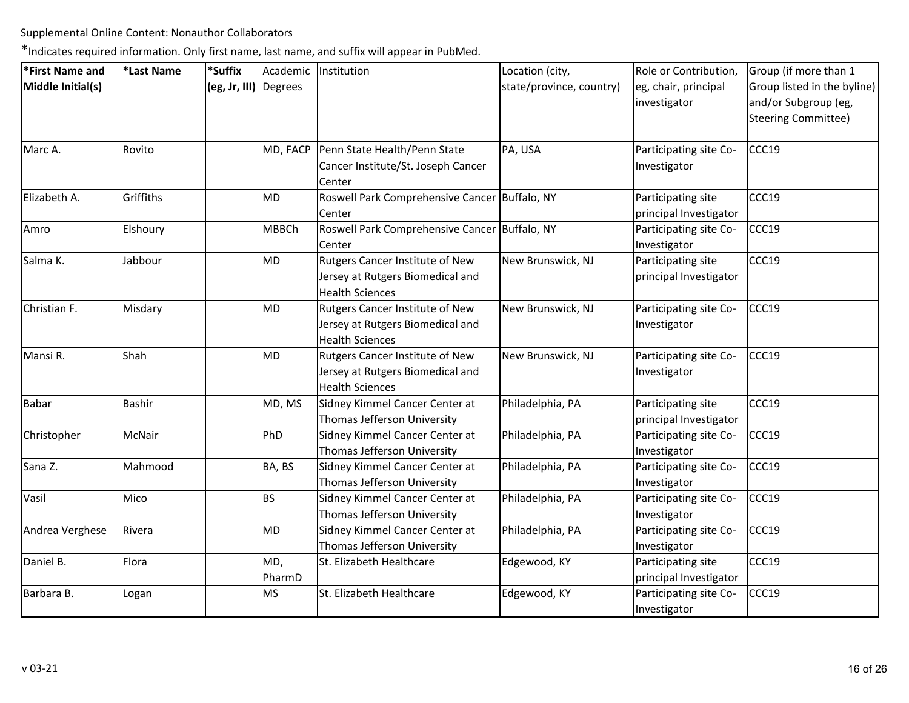| *First Name and   | *Last Name    | *Suffix               |               | Academic Institution                                                                          | Location (city,          | Role or Contribution,                        | Group (if more than 1                                                             |
|-------------------|---------------|-----------------------|---------------|-----------------------------------------------------------------------------------------------|--------------------------|----------------------------------------------|-----------------------------------------------------------------------------------|
| Middle Initial(s) |               | (eg, Jr, III) Degrees |               |                                                                                               | state/province, country) | eg, chair, principal<br>investigator         | Group listed in the byline)<br>and/or Subgroup (eg,<br><b>Steering Committee)</b> |
| Marc A.           | Rovito        |                       | MD, FACP      | Penn State Health/Penn State<br>Cancer Institute/St. Joseph Cancer<br>Center                  | PA, USA                  | Participating site Co-<br>Investigator       | CCC19                                                                             |
| Elizabeth A.      | Griffiths     |                       | <b>MD</b>     | Roswell Park Comprehensive Cancer Buffalo, NY<br>Center                                       |                          | Participating site<br>principal Investigator | CCC19                                                                             |
| Amro              | Elshoury      |                       | <b>MBBCh</b>  | Roswell Park Comprehensive Cancer Buffalo, NY<br>Center                                       |                          | Participating site Co-<br>Investigator       | CCC19                                                                             |
| Salma K.          | Jabbour       |                       | MD            | Rutgers Cancer Institute of New<br>Jersey at Rutgers Biomedical and<br><b>Health Sciences</b> | New Brunswick, NJ        | Participating site<br>principal Investigator | CCC19                                                                             |
| Christian F.      | Misdary       |                       | <b>MD</b>     | Rutgers Cancer Institute of New<br>Jersey at Rutgers Biomedical and<br><b>Health Sciences</b> | New Brunswick, NJ        | Participating site Co-<br>Investigator       | CCC19                                                                             |
| Mansi R.          | Shah          |                       | <b>MD</b>     | Rutgers Cancer Institute of New<br>Jersey at Rutgers Biomedical and<br><b>Health Sciences</b> | New Brunswick, NJ        | Participating site Co-<br>Investigator       | CCC19                                                                             |
| <b>Babar</b>      | <b>Bashir</b> |                       | MD, MS        | Sidney Kimmel Cancer Center at<br>Thomas Jefferson University                                 | Philadelphia, PA         | Participating site<br>principal Investigator | CCC19                                                                             |
| Christopher       | McNair        |                       | PhD           | Sidney Kimmel Cancer Center at<br>Thomas Jefferson University                                 | Philadelphia, PA         | Participating site Co-<br>Investigator       | CCC19                                                                             |
| Sana Z.           | Mahmood       |                       | BA, BS        | Sidney Kimmel Cancer Center at<br>Thomas Jefferson University                                 | Philadelphia, PA         | Participating site Co-<br>Investigator       | CCC19                                                                             |
| Vasil             | Mico          |                       | <b>BS</b>     | Sidney Kimmel Cancer Center at<br>Thomas Jefferson University                                 | Philadelphia, PA         | Participating site Co-<br>Investigator       | CCC19                                                                             |
| Andrea Verghese   | Rivera        |                       | <b>MD</b>     | Sidney Kimmel Cancer Center at<br>Thomas Jefferson University                                 | Philadelphia, PA         | Participating site Co-<br>Investigator       | CCC19                                                                             |
| Daniel B.         | Flora         |                       | MD,<br>PharmD | St. Elizabeth Healthcare                                                                      | Edgewood, KY             | Participating site<br>principal Investigator | CCC19                                                                             |
| Barbara B.        | Logan         |                       | <b>MS</b>     | St. Elizabeth Healthcare                                                                      | Edgewood, KY             | Participating site Co-<br>Investigator       | CCC19                                                                             |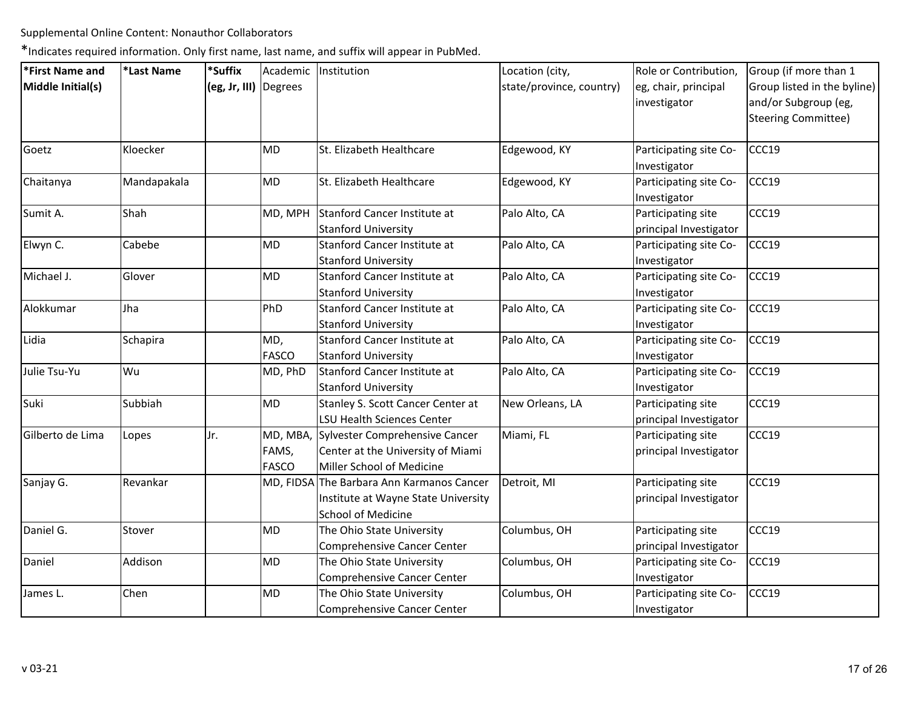| *First Name and   | *Last Name  | *Suffix               |              | Academic Institution                      | Location (city,          | Role or Contribution,  | Group (if more than 1       |
|-------------------|-------------|-----------------------|--------------|-------------------------------------------|--------------------------|------------------------|-----------------------------|
| Middle Initial(s) |             | (eg, Jr, III) Degrees |              |                                           | state/province, country) | eg, chair, principal   | Group listed in the byline) |
|                   |             |                       |              |                                           |                          | investigator           | and/or Subgroup (eg,        |
|                   |             |                       |              |                                           |                          |                        | <b>Steering Committee)</b>  |
|                   |             |                       |              |                                           |                          |                        |                             |
| Goetz             | Kloecker    |                       | <b>MD</b>    | St. Elizabeth Healthcare                  | Edgewood, KY             | Participating site Co- | CCC19                       |
|                   |             |                       |              |                                           |                          | Investigator           |                             |
| Chaitanya         | Mandapakala |                       | MD           | St. Elizabeth Healthcare                  | Edgewood, KY             | Participating site Co- | CCC19                       |
|                   |             |                       |              |                                           |                          | Investigator           |                             |
| Sumit A.          | Shah        |                       | MD, MPH      | Stanford Cancer Institute at              | Palo Alto, CA            | Participating site     | CCC19                       |
|                   |             |                       |              | <b>Stanford University</b>                |                          | principal Investigator |                             |
| Elwyn C.          | Cabebe      |                       | <b>MD</b>    | Stanford Cancer Institute at              | Palo Alto, CA            | Participating site Co- | CCC19                       |
|                   |             |                       |              | <b>Stanford University</b>                |                          | Investigator           |                             |
| Michael J.        | Glover      |                       | MD           | Stanford Cancer Institute at              | Palo Alto, CA            | Participating site Co- | CCC19                       |
|                   |             |                       |              | <b>Stanford University</b>                |                          | Investigator           |                             |
| Alokkumar         | Jha         |                       | PhD          | Stanford Cancer Institute at              | Palo Alto, CA            | Participating site Co- | CCC19                       |
|                   |             |                       |              | <b>Stanford University</b>                |                          | Investigator           |                             |
| Lidia             | Schapira    |                       | MD,          | Stanford Cancer Institute at              | Palo Alto, CA            | Participating site Co- | CCC19                       |
|                   |             |                       | <b>FASCO</b> | <b>Stanford University</b>                |                          | Investigator           |                             |
| Julie Tsu-Yu      | Wu          |                       | MD, PhD      | Stanford Cancer Institute at              | Palo Alto, CA            | Participating site Co- | CCC19                       |
|                   |             |                       |              | <b>Stanford University</b>                |                          | Investigator           |                             |
| Suki              | Subbiah     |                       | MD           | Stanley S. Scott Cancer Center at         | New Orleans, LA          | Participating site     | CCC19                       |
|                   |             |                       |              | <b>LSU Health Sciences Center</b>         |                          | principal Investigator |                             |
| Gilberto de Lima  | Lopes       | Jr.                   | MD, MBA,     | Sylvester Comprehensive Cancer            | Miami, FL                | Participating site     | CCC19                       |
|                   |             |                       | FAMS,        | Center at the University of Miami         |                          | principal Investigator |                             |
|                   |             |                       | <b>FASCO</b> | Miller School of Medicine                 |                          |                        |                             |
| Sanjay G.         | Revankar    |                       |              | MD, FIDSA The Barbara Ann Karmanos Cancer | Detroit, MI              | Participating site     | CCC19                       |
|                   |             |                       |              | Institute at Wayne State University       |                          | principal Investigator |                             |
|                   |             |                       |              | <b>School of Medicine</b>                 |                          |                        |                             |
| Daniel G.         | Stover      |                       | <b>MD</b>    | The Ohio State University                 | Columbus, OH             | Participating site     | CCC19                       |
|                   |             |                       |              | Comprehensive Cancer Center               |                          | principal Investigator |                             |
| Daniel            | Addison     |                       | <b>MD</b>    | The Ohio State University                 | Columbus, OH             | Participating site Co- | CCC19                       |
|                   |             |                       |              | Comprehensive Cancer Center               |                          | Investigator           |                             |
| James L.          | Chen        |                       | MD           | The Ohio State University                 | Columbus, OH             | Participating site Co- | CCC19                       |
|                   |             |                       |              | Comprehensive Cancer Center               |                          | Investigator           |                             |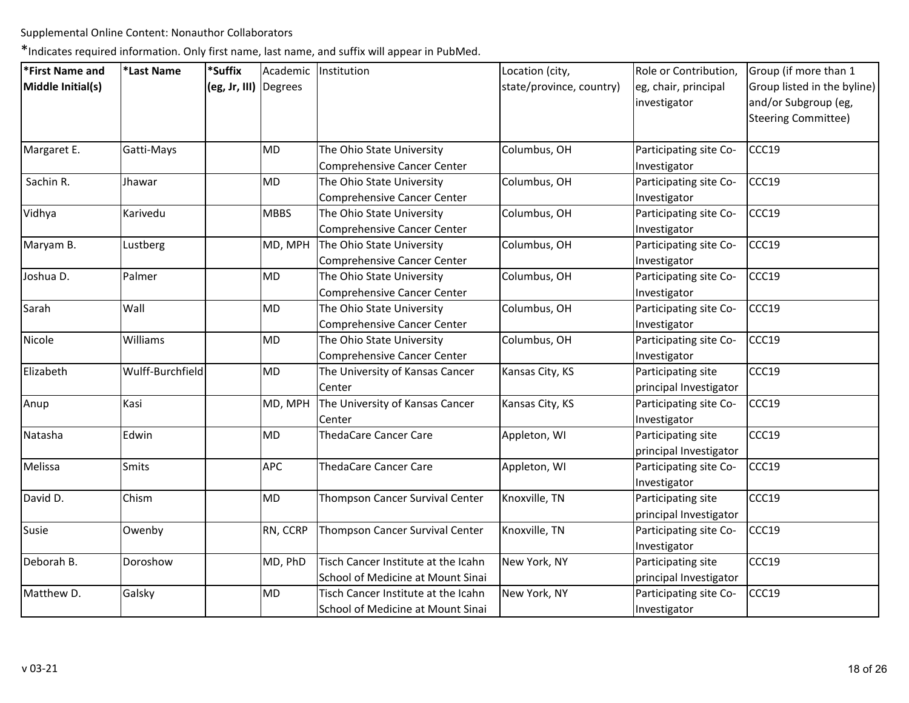| *First Name and   | *Last Name       | *Suffix               |             | Academic   Institution              | Location (city,          | Role or Contribution,  | Group (if more than 1       |
|-------------------|------------------|-----------------------|-------------|-------------------------------------|--------------------------|------------------------|-----------------------------|
| Middle Initial(s) |                  | (eg, Jr, III) Degrees |             |                                     | state/province, country) | eg, chair, principal   | Group listed in the byline) |
|                   |                  |                       |             |                                     |                          | investigator           | and/or Subgroup (eg,        |
|                   |                  |                       |             |                                     |                          |                        | Steering Committee)         |
| Margaret E.       | Gatti-Mays       |                       | <b>MD</b>   | The Ohio State University           | Columbus, OH             | Participating site Co- | CCC19                       |
|                   |                  |                       |             | <b>Comprehensive Cancer Center</b>  |                          | Investigator           |                             |
| Sachin R.         | Jhawar           |                       | MD          | The Ohio State University           | Columbus, OH             | Participating site Co- | CCC19                       |
|                   |                  |                       |             | Comprehensive Cancer Center         |                          | Investigator           |                             |
| Vidhya            | Karivedu         |                       | <b>MBBS</b> | The Ohio State University           | Columbus, OH             | Participating site Co- | CCC19                       |
|                   |                  |                       |             | <b>Comprehensive Cancer Center</b>  |                          | Investigator           |                             |
| Maryam B.         | Lustberg         |                       | MD, MPH     | The Ohio State University           | Columbus, OH             | Participating site Co- | CCC19                       |
|                   |                  |                       |             | Comprehensive Cancer Center         |                          | Investigator           |                             |
| Joshua D.         | Palmer           |                       | <b>MD</b>   | The Ohio State University           | Columbus, OH             | Participating site Co- | CCC19                       |
|                   |                  |                       |             | <b>Comprehensive Cancer Center</b>  |                          | Investigator           |                             |
| Sarah             | Wall             |                       | MD          | The Ohio State University           | Columbus, OH             | Participating site Co- | CCC19                       |
|                   |                  |                       |             | Comprehensive Cancer Center         |                          | Investigator           |                             |
| Nicole            | Williams         |                       | MD          | The Ohio State University           | Columbus, OH             | Participating site Co- | CCC19                       |
|                   |                  |                       |             | Comprehensive Cancer Center         |                          | Investigator           |                             |
| Elizabeth         | Wulff-Burchfield |                       | MD          | The University of Kansas Cancer     | Kansas City, KS          | Participating site     | CCC19                       |
|                   |                  |                       |             | Center                              |                          | principal Investigator |                             |
| Anup              | Kasi             |                       | MD, MPH     | The University of Kansas Cancer     | Kansas City, KS          | Participating site Co- | CCC19                       |
|                   |                  |                       |             | Center                              |                          | Investigator           |                             |
| Natasha           | Edwin            |                       | <b>MD</b>   | <b>ThedaCare Cancer Care</b>        | Appleton, WI             | Participating site     | CCC19                       |
|                   |                  |                       |             |                                     |                          | principal Investigator |                             |
| Melissa           | Smits            |                       | <b>APC</b>  | <b>ThedaCare Cancer Care</b>        | Appleton, WI             | Participating site Co- | CCC19                       |
|                   |                  |                       |             |                                     |                          | Investigator           |                             |
| David D.          | Chism            |                       | <b>MD</b>   | Thompson Cancer Survival Center     | Knoxville, TN            | Participating site     | CCC19                       |
|                   |                  |                       |             |                                     |                          | principal Investigator |                             |
| Susie             | Owenby           |                       | RN, CCRP    | Thompson Cancer Survival Center     | Knoxville, TN            | Participating site Co- | CCC19                       |
|                   |                  |                       |             |                                     |                          | Investigator           |                             |
| Deborah B.        | Doroshow         |                       | MD, PhD     | Tisch Cancer Institute at the Icahn | New York, NY             | Participating site     | CCC19                       |
|                   |                  |                       |             | School of Medicine at Mount Sinai   |                          | principal Investigator |                             |
| Matthew D.        | Galsky           |                       | MD          | Tisch Cancer Institute at the Icahn | New York, NY             | Participating site Co- | CCC19                       |
|                   |                  |                       |             | School of Medicine at Mount Sinai   |                          | Investigator           |                             |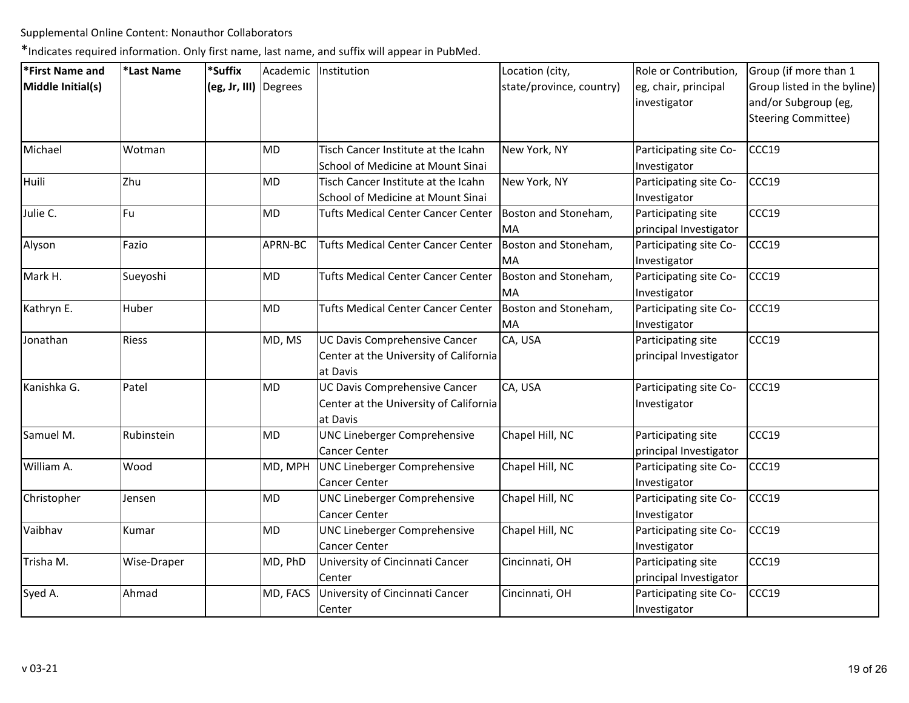| *First Name and   | *Last Name  | *Suffix               | Academic  | Institution                                                                         | Location (city,            | Role or Contribution,                        | Group (if more than 1                                                      |
|-------------------|-------------|-----------------------|-----------|-------------------------------------------------------------------------------------|----------------------------|----------------------------------------------|----------------------------------------------------------------------------|
| Middle Initial(s) |             | (eg, Jr, III) Degrees |           |                                                                                     | state/province, country)   | eg, chair, principal<br>investigator         | Group listed in the byline)<br>and/or Subgroup (eg,<br>Steering Committee) |
| Michael           | Wotman      |                       | MD        | Tisch Cancer Institute at the Icahn<br>School of Medicine at Mount Sinai            | New York, NY               | Participating site Co-<br>Investigator       | CCC19                                                                      |
| Huili             | Zhu         |                       | <b>MD</b> | Tisch Cancer Institute at the Icahn<br>School of Medicine at Mount Sinai            | New York, NY               | Participating site Co-<br>Investigator       | CCC19                                                                      |
| Julie C.          | Fu          |                       | MD        | <b>Tufts Medical Center Cancer Center</b>                                           | Boston and Stoneham,<br>MA | Participating site<br>principal Investigator | CCC19                                                                      |
| Alyson            | Fazio       |                       | APRN-BC   | <b>Tufts Medical Center Cancer Center</b>                                           | Boston and Stoneham,<br>MA | Participating site Co-<br>Investigator       | CCC19                                                                      |
| Mark H.           | Sueyoshi    |                       | MD        | <b>Tufts Medical Center Cancer Center</b>                                           | Boston and Stoneham,<br>MA | Participating site Co-<br>Investigator       | CCC19                                                                      |
| Kathryn E.        | Huber       |                       | MD        | <b>Tufts Medical Center Cancer Center</b>                                           | Boston and Stoneham,<br>MA | Participating site Co-<br>Investigator       | CCC19                                                                      |
| Jonathan          | Riess       |                       | MD, MS    | UC Davis Comprehensive Cancer<br>Center at the University of California<br>at Davis | CA, USA                    | Participating site<br>principal Investigator | CCC19                                                                      |
| Kanishka G.       | Patel       |                       | <b>MD</b> | UC Davis Comprehensive Cancer<br>Center at the University of California<br>at Davis | CA, USA                    | Participating site Co-<br>Investigator       | CCC19                                                                      |
| Samuel M.         | Rubinstein  |                       | <b>MD</b> | UNC Lineberger Comprehensive<br><b>Cancer Center</b>                                | Chapel Hill, NC            | Participating site<br>principal Investigator | CCC19                                                                      |
| William A.        | Wood        |                       | MD, MPH   | UNC Lineberger Comprehensive<br>Cancer Center                                       | Chapel Hill, NC            | Participating site Co-<br>Investigator       | CCC19                                                                      |
| Christopher       | Jensen      |                       | <b>MD</b> | UNC Lineberger Comprehensive<br><b>Cancer Center</b>                                | Chapel Hill, NC            | Participating site Co-<br>Investigator       | CCC19                                                                      |
| Vaibhav           | Kumar       |                       | <b>MD</b> | UNC Lineberger Comprehensive<br>Cancer Center                                       | Chapel Hill, NC            | Participating site Co-<br>Investigator       | CCC19                                                                      |
| Trisha M.         | Wise-Draper |                       | MD, PhD   | University of Cincinnati Cancer<br>Center                                           | Cincinnati, OH             | Participating site<br>principal Investigator | CCC19                                                                      |
| Syed A.           | Ahmad       |                       | MD, FACS  | University of Cincinnati Cancer<br>Center                                           | Cincinnati, OH             | Participating site Co-<br>Investigator       | CCC19                                                                      |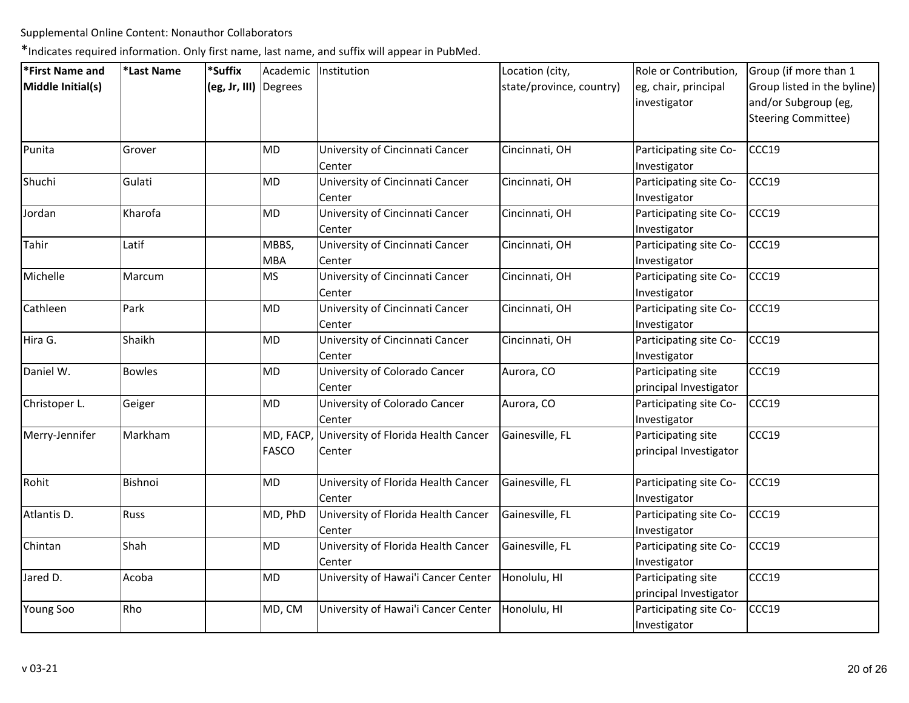| *First Name and   | *Last Name    | *Suffix               | Academic Institution                                    | Location (city,          | Role or Contribution,                        | Group (if more than 1                                                             |
|-------------------|---------------|-----------------------|---------------------------------------------------------|--------------------------|----------------------------------------------|-----------------------------------------------------------------------------------|
| Middle Initial(s) |               | (eg, Jr, III) Degrees |                                                         | state/province, country) | eg, chair, principal<br>investigator         | Group listed in the byline)<br>and/or Subgroup (eg,<br><b>Steering Committee)</b> |
| Punita            | Grover        | <b>MD</b>             | University of Cincinnati Cancer<br>Center               | Cincinnati, OH           | Participating site Co-<br>Investigator       | CCC19                                                                             |
| Shuchi            | Gulati        | MD                    | University of Cincinnati Cancer<br>Center               | Cincinnati, OH           | Participating site Co-<br>Investigator       | CCC19                                                                             |
| Jordan            | Kharofa       | <b>MD</b>             | University of Cincinnati Cancer<br>Center               | Cincinnati, OH           | Participating site Co-<br>Investigator       | CCC19                                                                             |
| Tahir             | Latif         | MBBS,<br><b>MBA</b>   | University of Cincinnati Cancer<br>Center               | Cincinnati, OH           | Participating site Co-<br>Investigator       | CCC19                                                                             |
| Michelle          | Marcum        | <b>MS</b>             | University of Cincinnati Cancer<br>Center               | Cincinnati, OH           | Participating site Co-<br>Investigator       | CCC19                                                                             |
| Cathleen          | Park          | <b>MD</b>             | University of Cincinnati Cancer<br>Center               | Cincinnati, OH           | Participating site Co-<br>Investigator       | CCC19                                                                             |
| Hira G.           | Shaikh        | <b>MD</b>             | University of Cincinnati Cancer<br>Center               | Cincinnati, OH           | Participating site Co-<br>Investigator       | CCC19                                                                             |
| Daniel W.         | <b>Bowles</b> | <b>MD</b>             | University of Colorado Cancer<br>Center                 | Aurora, CO               | Participating site<br>principal Investigator | CCC19                                                                             |
| Christoper L.     | Geiger        | <b>MD</b>             | University of Colorado Cancer<br>Center                 | Aurora, CO               | Participating site Co-<br>Investigator       | CCC19                                                                             |
| Merry-Jennifer    | Markham       | <b>FASCO</b>          | MD, FACP, University of Florida Health Cancer<br>Center | Gainesville, FL          | Participating site<br>principal Investigator | CCC19                                                                             |
| Rohit             | Bishnoi       | MD                    | University of Florida Health Cancer<br>Center           | Gainesville, FL          | Participating site Co-<br>Investigator       | CCC19                                                                             |
| Atlantis D.       | Russ          | MD, PhD               | University of Florida Health Cancer<br>Center           | Gainesville, FL          | Participating site Co-<br>Investigator       | CCC19                                                                             |
| Chintan           | Shah          | MD                    | University of Florida Health Cancer<br>Center           | Gainesville, FL          | Participating site Co-<br>Investigator       | CCC19                                                                             |
| Jared D.          | Acoba         | <b>MD</b>             | University of Hawai'i Cancer Center                     | Honolulu, HI             | Participating site<br>principal Investigator | CCC19                                                                             |
| <b>Young Soo</b>  | Rho           | MD, CM                | University of Hawai'i Cancer Center                     | Honolulu, HI             | Participating site Co-<br>Investigator       | CCC19                                                                             |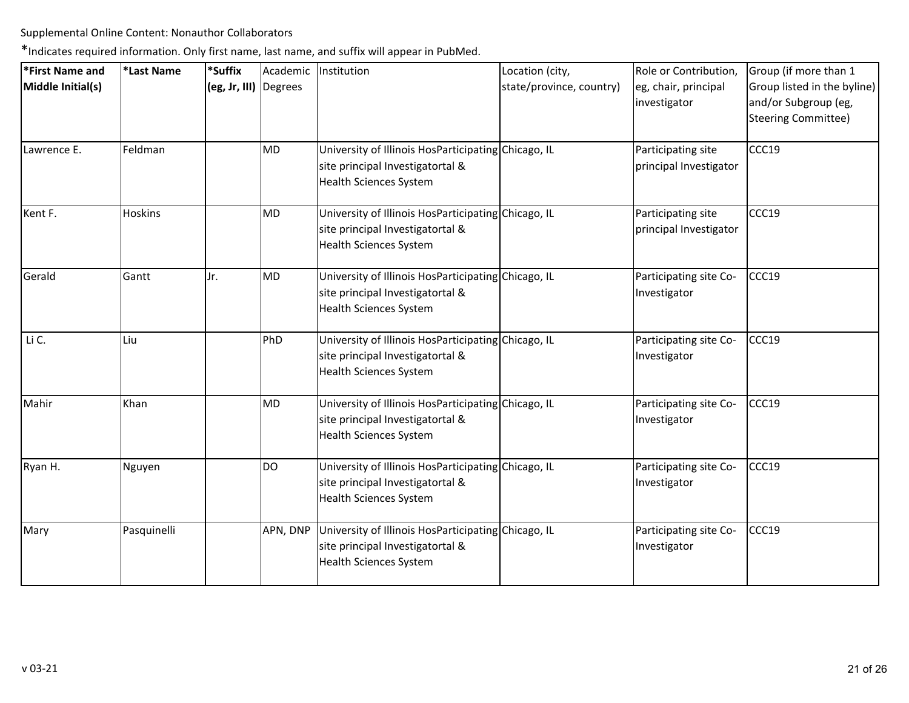| *First Name and   | *Last Name  | *Suffix               |           | Academic Institution                                                                                                     | Location (city,          | Role or Contribution,                        | Group (if more than 1                                                             |
|-------------------|-------------|-----------------------|-----------|--------------------------------------------------------------------------------------------------------------------------|--------------------------|----------------------------------------------|-----------------------------------------------------------------------------------|
| Middle Initial(s) |             | (eg, Jr, III) Degrees |           |                                                                                                                          | state/province, country) | eg, chair, principal<br>investigator         | Group listed in the byline)<br>and/or Subgroup (eg,<br><b>Steering Committee)</b> |
| Lawrence E.       | Feldman     |                       | <b>MD</b> | University of Illinois HosParticipating Chicago, IL<br>site principal Investigatortal &<br><b>Health Sciences System</b> |                          | Participating site<br>principal Investigator | CCC19                                                                             |
| Kent F.           | Hoskins     |                       | <b>MD</b> | University of Illinois HosParticipating Chicago, IL<br>site principal Investigatortal &<br><b>Health Sciences System</b> |                          | Participating site<br>principal Investigator | CCC19                                                                             |
| Gerald            | Gantt       | Jr.                   | <b>MD</b> | University of Illinois HosParticipating Chicago, IL<br>site principal Investigatortal &<br><b>Health Sciences System</b> |                          | Participating site Co-<br>Investigator       | CCC19                                                                             |
| Li C.             | Liu         |                       | PhD       | University of Illinois HosParticipating Chicago, IL<br>site principal Investigatortal &<br><b>Health Sciences System</b> |                          | Participating site Co-<br>Investigator       | CCC19                                                                             |
| Mahir             | Khan        |                       | <b>MD</b> | University of Illinois HosParticipating Chicago, IL<br>site principal Investigatortal &<br><b>Health Sciences System</b> |                          | Participating site Co-<br>Investigator       | CCC19                                                                             |
| Ryan H.           | Nguyen      |                       | <b>DO</b> | University of Illinois HosParticipating Chicago, IL<br>site principal Investigatortal &<br><b>Health Sciences System</b> |                          | Participating site Co-<br>Investigator       | CCC19                                                                             |
| Mary              | Pasquinelli |                       | APN, DNP  | University of Illinois HosParticipating Chicago, IL<br>site principal Investigatortal &<br><b>Health Sciences System</b> |                          | Participating site Co-<br>Investigator       | CCC19                                                                             |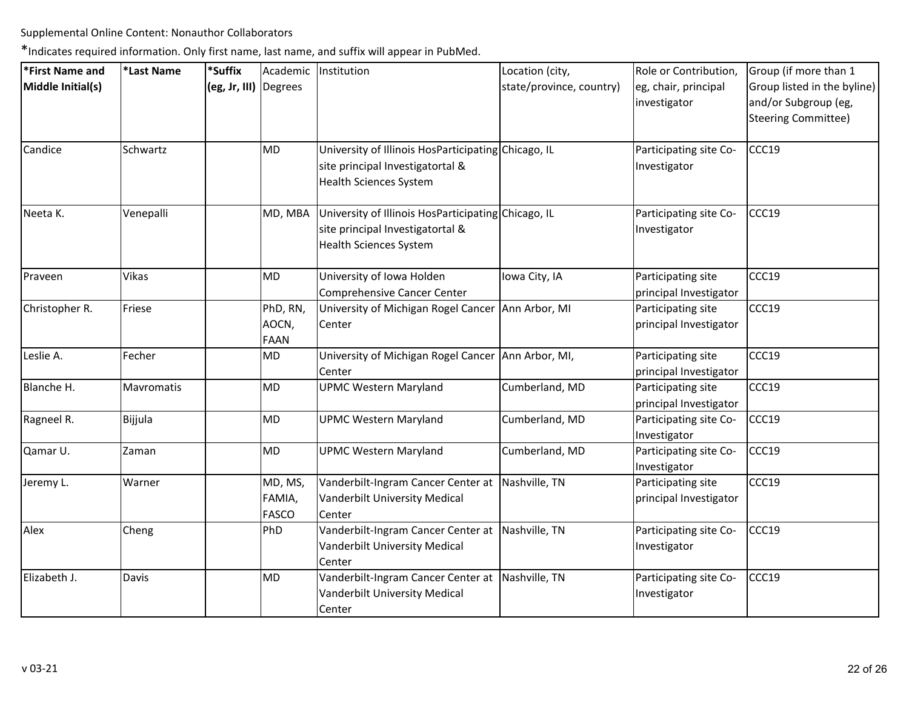| *First Name and   | *Last Name | *Suffix               | Academic                          | Institution                                                                                                              | Location (city,          | Role or Contribution,                        | Group (if more than 1                                                      |
|-------------------|------------|-----------------------|-----------------------------------|--------------------------------------------------------------------------------------------------------------------------|--------------------------|----------------------------------------------|----------------------------------------------------------------------------|
| Middle Initial(s) |            | (eg, Jr, III) Degrees |                                   |                                                                                                                          | state/province, country) | eg, chair, principal<br>investigator         | Group listed in the byline)<br>and/or Subgroup (eg,<br>Steering Committee) |
| Candice           | Schwartz   |                       | MD                                | University of Illinois HosParticipating Chicago, IL<br>site principal Investigatortal &<br><b>Health Sciences System</b> |                          | Participating site Co-<br>Investigator       | CCC19                                                                      |
| Neeta K.          | Venepalli  |                       | MD, MBA                           | University of Illinois HosParticipating Chicago, IL<br>site principal Investigatortal &<br><b>Health Sciences System</b> |                          | Participating site Co-<br>Investigator       | CCC19                                                                      |
| Praveen           | Vikas      |                       | <b>MD</b>                         | University of Iowa Holden<br>Comprehensive Cancer Center                                                                 | Iowa City, IA            | Participating site<br>principal Investigator | CCC19                                                                      |
| Christopher R.    | Friese     |                       | PhD, RN,<br>AOCN,<br><b>FAAN</b>  | University of Michigan Rogel Cancer Ann Arbor, MI<br>Center                                                              |                          | Participating site<br>principal Investigator | CCC19                                                                      |
| Leslie A.         | Fecher     |                       | MD                                | University of Michigan Rogel Cancer Ann Arbor, MI,<br>Center                                                             |                          | Participating site<br>principal Investigator | CCC19                                                                      |
| Blanche H.        | Mavromatis |                       | <b>MD</b>                         | <b>UPMC Western Maryland</b>                                                                                             | Cumberland, MD           | Participating site<br>principal Investigator | CCC19                                                                      |
| Ragneel R.        | Bijjula    |                       | MD                                | <b>UPMC Western Maryland</b>                                                                                             | Cumberland, MD           | Participating site Co-<br>Investigator       | CCC19                                                                      |
| Qamar U.          | Zaman      |                       | <b>MD</b>                         | <b>UPMC Western Maryland</b>                                                                                             | Cumberland, MD           | Participating site Co-<br>Investigator       | CCC19                                                                      |
| Jeremy L.         | Warner     |                       | MD, MS,<br>FAMIA,<br><b>FASCO</b> | Vanderbilt-Ingram Cancer Center at Nashville, TN<br>Vanderbilt University Medical<br>Center                              |                          | Participating site<br>principal Investigator | CCC19                                                                      |
| Alex              | Cheng      |                       | PhD                               | Vanderbilt-Ingram Cancer Center at<br>Vanderbilt University Medical<br>Center                                            | Nashville, TN            | Participating site Co-<br>Investigator       | CCC19                                                                      |
| Elizabeth J.      | Davis      |                       | MD                                | Vanderbilt-Ingram Cancer Center at Nashville, TN<br>Vanderbilt University Medical<br>Center                              |                          | Participating site Co-<br>Investigator       | CCC19                                                                      |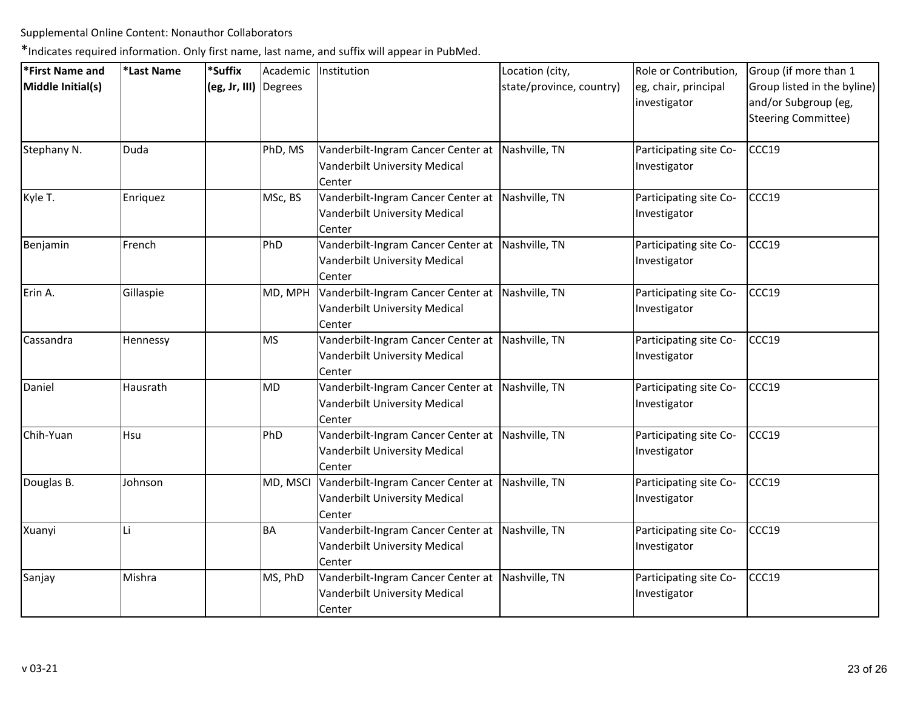| *First Name and   | *Last Name | *Suffix               |           | Academic   Institution                                                                      | Location (city,          | Role or Contribution,                  | Group (if more than 1                                                      |
|-------------------|------------|-----------------------|-----------|---------------------------------------------------------------------------------------------|--------------------------|----------------------------------------|----------------------------------------------------------------------------|
| Middle Initial(s) |            | (eg, Jr, III) Degrees |           |                                                                                             | state/province, country) | eg, chair, principal<br>investigator   | Group listed in the byline)<br>and/or Subgroup (eg,<br>Steering Committee) |
| Stephany N.       | Duda       |                       | PhD, MS   | Vanderbilt-Ingram Cancer Center at Nashville, TN<br>Vanderbilt University Medical<br>Center |                          | Participating site Co-<br>Investigator | CCC19                                                                      |
| Kyle T.           | Enriquez   |                       | MSc, BS   | Vanderbilt-Ingram Cancer Center at Nashville, TN<br>Vanderbilt University Medical<br>Center |                          | Participating site Co-<br>Investigator | CCC19                                                                      |
| Benjamin          | French     |                       | PhD       | Vanderbilt-Ingram Cancer Center at Nashville, TN<br>Vanderbilt University Medical<br>Center |                          | Participating site Co-<br>Investigator | CCC19                                                                      |
| Erin A.           | Gillaspie  |                       | MD, MPH   | Vanderbilt-Ingram Cancer Center at Nashville, TN<br>Vanderbilt University Medical<br>Center |                          | Participating site Co-<br>Investigator | CCC19                                                                      |
| Cassandra         | Hennessy   |                       | <b>MS</b> | Vanderbilt-Ingram Cancer Center at Nashville, TN<br>Vanderbilt University Medical<br>Center |                          | Participating site Co-<br>Investigator | CCC19                                                                      |
| Daniel            | Hausrath   |                       | <b>MD</b> | Vanderbilt-Ingram Cancer Center at Nashville, TN<br>Vanderbilt University Medical<br>Center |                          | Participating site Co-<br>Investigator | CCC19                                                                      |
| Chih-Yuan         | Hsu        |                       | PhD       | Vanderbilt-Ingram Cancer Center at Nashville, TN<br>Vanderbilt University Medical<br>Center |                          | Participating site Co-<br>Investigator | CCC19                                                                      |
| Douglas B.        | Johnson    |                       | MD, MSCI  | Vanderbilt-Ingram Cancer Center at Nashville, TN<br>Vanderbilt University Medical<br>Center |                          | Participating site Co-<br>Investigator | CCC19                                                                      |
| Xuanyi            | Li         |                       | <b>BA</b> | Vanderbilt-Ingram Cancer Center at Nashville, TN<br>Vanderbilt University Medical<br>Center |                          | Participating site Co-<br>Investigator | CCC19                                                                      |
| Sanjay            | Mishra     |                       | MS, PhD   | Vanderbilt-Ingram Cancer Center at Nashville, TN<br>Vanderbilt University Medical<br>Center |                          | Participating site Co-<br>Investigator | CCC19                                                                      |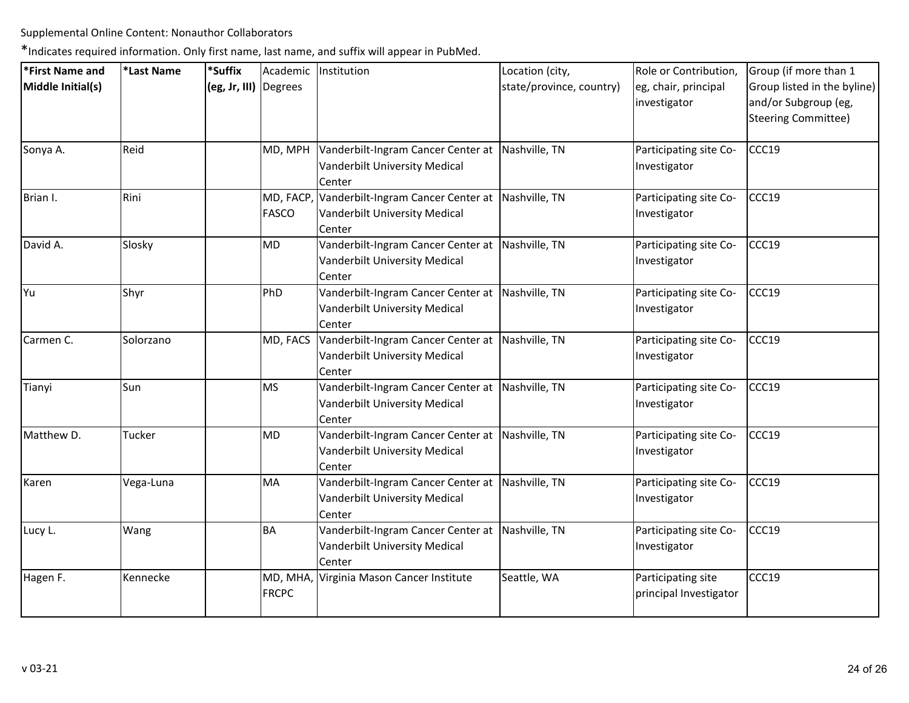| *First Name and   | *Last Name | *Suffix               | Academic                  | Institution                                                                                   | Location (city,          | Role or Contribution,                        | Group (if more than 1                                                             |
|-------------------|------------|-----------------------|---------------------------|-----------------------------------------------------------------------------------------------|--------------------------|----------------------------------------------|-----------------------------------------------------------------------------------|
| Middle Initial(s) |            | (eg, Jr, III) Degrees |                           |                                                                                               | state/province, country) | eg, chair, principal<br>investigator         | Group listed in the byline)<br>and/or Subgroup (eg,<br><b>Steering Committee)</b> |
| Sonya A.          | Reid       |                       | MD, MPH                   | Vanderbilt-Ingram Cancer Center at<br>Vanderbilt University Medical<br>Center                 | Nashville, TN            | Participating site Co-<br>Investigator       | CCC19                                                                             |
| Brian I.          | Rini       |                       | MD, FACP,<br><b>FASCO</b> | Vanderbilt-Ingram Cancer Center at<br>Vanderbilt University Medical<br>Center                 | Nashville, TN            | Participating site Co-<br>Investigator       | CCC19                                                                             |
| David A.          | Slosky     |                       | MD                        | Vanderbilt-Ingram Cancer Center at Nashville, TN<br>Vanderbilt University Medical<br>Center   |                          | Participating site Co-<br>Investigator       | CCC19                                                                             |
| Yu                | Shyr       |                       | PhD                       | Vanderbilt-Ingram Cancer Center at<br>Vanderbilt University Medical<br>Center                 | Nashville, TN            | Participating site Co-<br>Investigator       | CCC19                                                                             |
| Carmen C.         | Solorzano  |                       | MD, FACS                  | Vanderbilt-Ingram Cancer Center at Nashville, TN<br>Vanderbilt University Medical<br>Center   |                          | Participating site Co-<br>Investigator       | CCC19                                                                             |
| Tianyi            | Sun        |                       | MS                        | Vanderbilt-Ingram Cancer Center at Nashville, TN<br>Vanderbilt University Medical<br>Center   |                          | Participating site Co-<br>Investigator       | CCC19                                                                             |
| Matthew D.        | Tucker     |                       | MD                        | Vanderbilt-Ingram Cancer Center at<br>Vanderbilt University Medical<br>Center                 | Nashville, TN            | Participating site Co-<br>Investigator       | CCC19                                                                             |
| Karen             | Vega-Luna  |                       | MA                        | Vanderbilt-Ingram Cancer Center at   Nashville, TN<br>Vanderbilt University Medical<br>Center |                          | Participating site Co-<br>Investigator       | CCC19                                                                             |
| Lucy L.           | Wang       |                       | <b>BA</b>                 | Vanderbilt-Ingram Cancer Center at<br>Vanderbilt University Medical<br>Center                 | Nashville, TN            | Participating site Co-<br>Investigator       | CCC19                                                                             |
| Hagen F.          | Kennecke   |                       | <b>FRCPC</b>              | MD, MHA, Virginia Mason Cancer Institute                                                      | Seattle, WA              | Participating site<br>principal Investigator | CCC19                                                                             |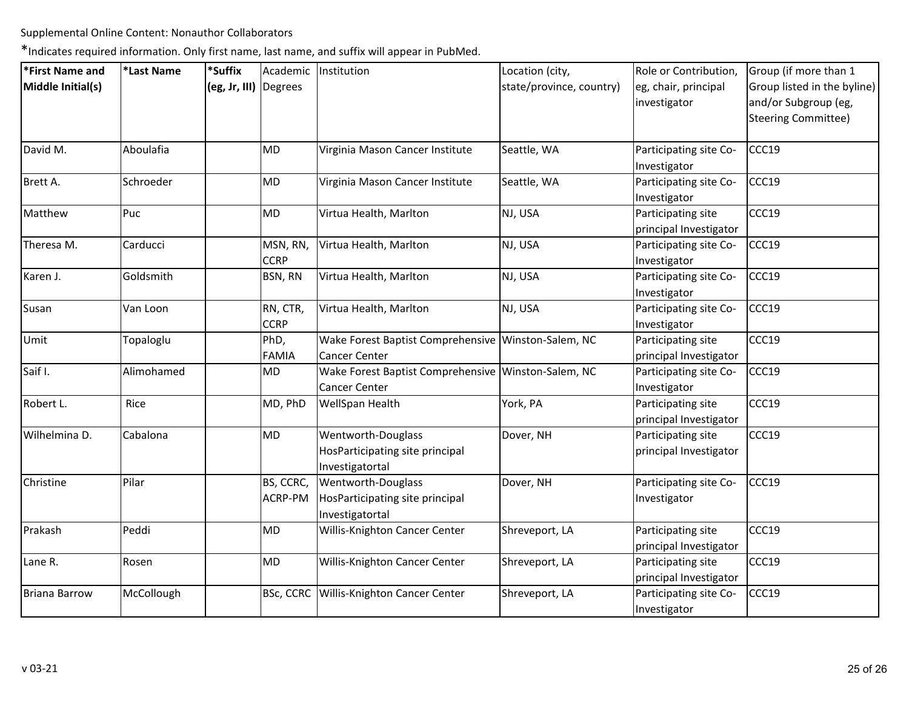| *First Name and      | *Last Name | *Suffix               |                         | Academic Institution                                                     | Location (city,          | Role or Contribution,                        | Group (if more than 1       |
|----------------------|------------|-----------------------|-------------------------|--------------------------------------------------------------------------|--------------------------|----------------------------------------------|-----------------------------|
| Middle Initial(s)    |            | (eg, Jr, III) Degrees |                         |                                                                          | state/province, country) | eg, chair, principal                         | Group listed in the byline) |
|                      |            |                       |                         |                                                                          |                          | investigator                                 | and/or Subgroup (eg,        |
|                      |            |                       |                         |                                                                          |                          |                                              | <b>Steering Committee)</b>  |
| David M.             | Aboulafia  |                       | <b>MD</b>               | Virginia Mason Cancer Institute                                          | Seattle, WA              | Participating site Co-<br>Investigator       | CCC19                       |
| Brett A.             | Schroeder  |                       | MD                      | Virginia Mason Cancer Institute                                          | Seattle, WA              | Participating site Co-<br>Investigator       | CCC19                       |
| Matthew              | Puc        |                       | MD                      | Virtua Health, Marlton                                                   | NJ, USA                  | Participating site<br>principal Investigator | CCC19                       |
| Theresa M.           | Carducci   |                       | MSN, RN,<br><b>CCRP</b> | Virtua Health, Marlton                                                   | NJ, USA                  | Participating site Co-<br>Investigator       | CCC19                       |
| Karen J.             | Goldsmith  |                       | BSN, RN                 | Virtua Health, Marlton                                                   | NJ, USA                  | Participating site Co-<br>Investigator       | CCC19                       |
| Susan                | Van Loon   |                       | RN, CTR,<br><b>CCRP</b> | Virtua Health, Marlton                                                   | NJ, USA                  | Participating site Co-<br>Investigator       | CCC19                       |
| Umit                 | Topaloglu  |                       | PhD,<br><b>FAMIA</b>    | Wake Forest Baptist Comprehensive Winston-Salem, NC<br>Cancer Center     |                          | Participating site<br>principal Investigator | CCC19                       |
| Saif I.              | Alimohamed |                       | MD                      | Wake Forest Baptist Comprehensive Winston-Salem, NC<br>Cancer Center     |                          | Participating site Co-<br>Investigator       | CCC19                       |
| Robert L.            | Rice       |                       | MD, PhD                 | WellSpan Health                                                          | York, PA                 | Participating site<br>principal Investigator | CCC19                       |
| Wilhelmina D.        | Cabalona   |                       | MD                      | Wentworth-Douglass<br>HosParticipating site principal<br>Investigatortal | Dover, NH                | Participating site<br>principal Investigator | CCC19                       |
| Christine            | Pilar      |                       | BS, CCRC,<br>ACRP-PM    | Wentworth-Douglass<br>HosParticipating site principal<br>Investigatortal | Dover, NH                | Participating site Co-<br>Investigator       | CCC19                       |
| Prakash              | Peddi      |                       | <b>MD</b>               | Willis-Knighton Cancer Center                                            | Shreveport, LA           | Participating site<br>principal Investigator | CCC19                       |
| Lane R.              | Rosen      |                       | <b>MD</b>               | Willis-Knighton Cancer Center                                            | Shreveport, LA           | Participating site<br>principal Investigator | CCC19                       |
| <b>Briana Barrow</b> | McCollough |                       | BSc, CCRC               | Willis-Knighton Cancer Center                                            | Shreveport, LA           | Participating site Co-<br>Investigator       | CCC19                       |